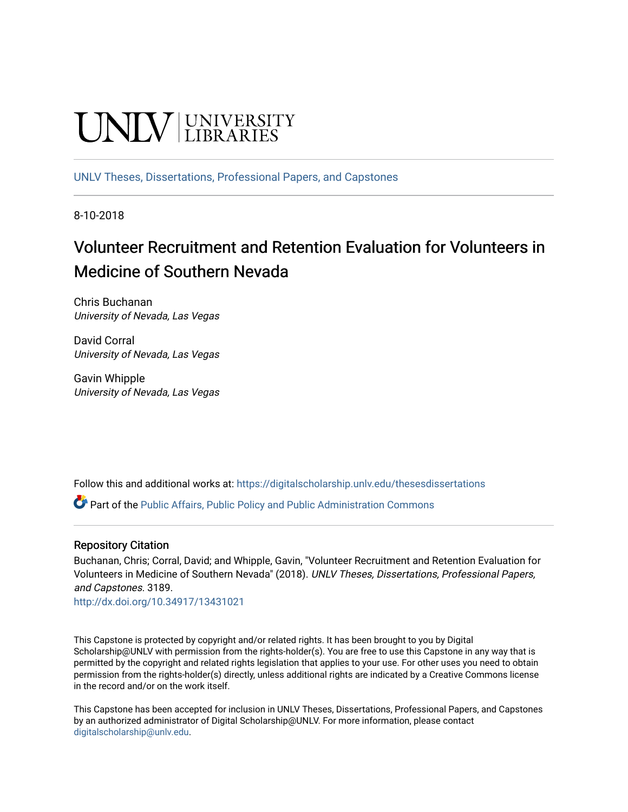# UNIV UNIVERSITY

[UNLV Theses, Dissertations, Professional Papers, and Capstones](https://digitalscholarship.unlv.edu/thesesdissertations)

8-10-2018

# Volunteer Recruitment and Retention Evaluation for Volunteers in Medicine of Southern Nevada

Chris Buchanan University of Nevada, Las Vegas

David Corral University of Nevada, Las Vegas

Gavin Whipple University of Nevada, Las Vegas

Follow this and additional works at: [https://digitalscholarship.unlv.edu/thesesdissertations](https://digitalscholarship.unlv.edu/thesesdissertations?utm_source=digitalscholarship.unlv.edu%2Fthesesdissertations%2F3189&utm_medium=PDF&utm_campaign=PDFCoverPages)

Part of the [Public Affairs, Public Policy and Public Administration Commons](http://network.bepress.com/hgg/discipline/393?utm_source=digitalscholarship.unlv.edu%2Fthesesdissertations%2F3189&utm_medium=PDF&utm_campaign=PDFCoverPages) 

#### Repository Citation

Buchanan, Chris; Corral, David; and Whipple, Gavin, "Volunteer Recruitment and Retention Evaluation for Volunteers in Medicine of Southern Nevada" (2018). UNLV Theses, Dissertations, Professional Papers, and Capstones. 3189.

<http://dx.doi.org/10.34917/13431021>

This Capstone is protected by copyright and/or related rights. It has been brought to you by Digital Scholarship@UNLV with permission from the rights-holder(s). You are free to use this Capstone in any way that is permitted by the copyright and related rights legislation that applies to your use. For other uses you need to obtain permission from the rights-holder(s) directly, unless additional rights are indicated by a Creative Commons license in the record and/or on the work itself.

This Capstone has been accepted for inclusion in UNLV Theses, Dissertations, Professional Papers, and Capstones by an authorized administrator of Digital Scholarship@UNLV. For more information, please contact [digitalscholarship@unlv.edu](mailto:digitalscholarship@unlv.edu).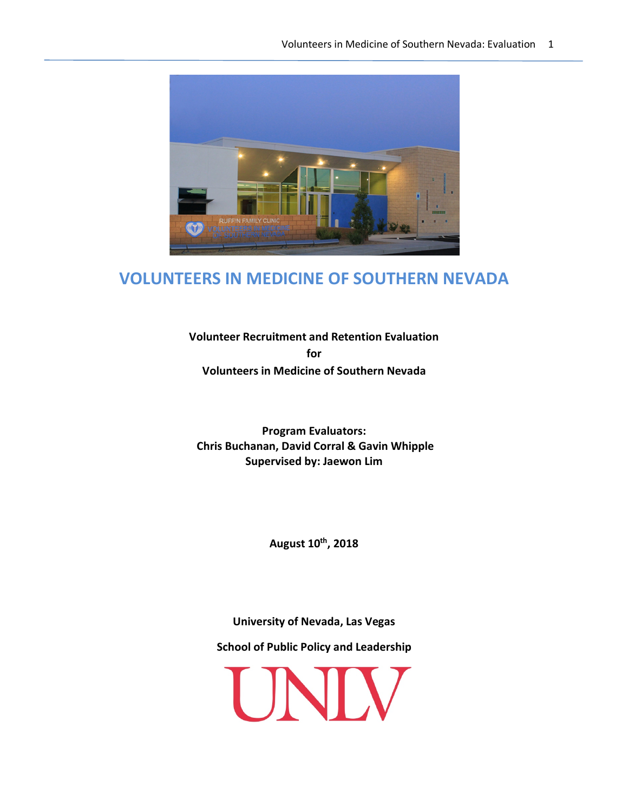

# **VOLUNTEERS IN MEDICINE OF SOUTHERN NEVADA**

**Volunteer Recruitment and Retention Evaluation for Volunteers in Medicine of Southern Nevada**

**Program Evaluators: Chris Buchanan, David Corral & Gavin Whipple Supervised by: Jaewon Lim**

**August 10th, 2018**

**University of Nevada, Las Vegas**

**School of Public Policy and Leadership**

UNIV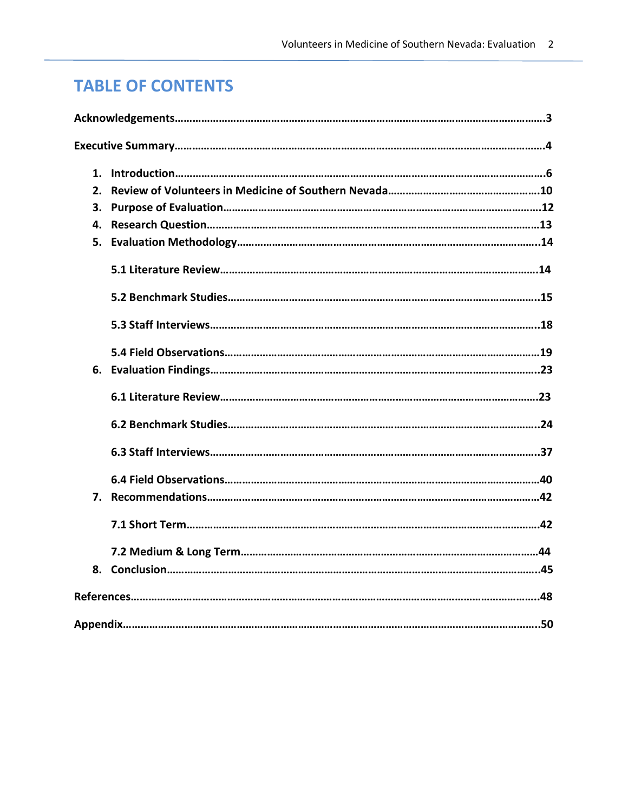# **TABLE OF CONTENTS**

| $\mathbf{1}$ . |  |
|----------------|--|
| $\mathbf{p}$   |  |
| 3.             |  |
| 4.             |  |
| 5.             |  |
|                |  |
|                |  |
|                |  |
|                |  |
|                |  |
|                |  |
|                |  |
|                |  |
|                |  |
| 7.             |  |
|                |  |
|                |  |
| 8.             |  |
|                |  |
|                |  |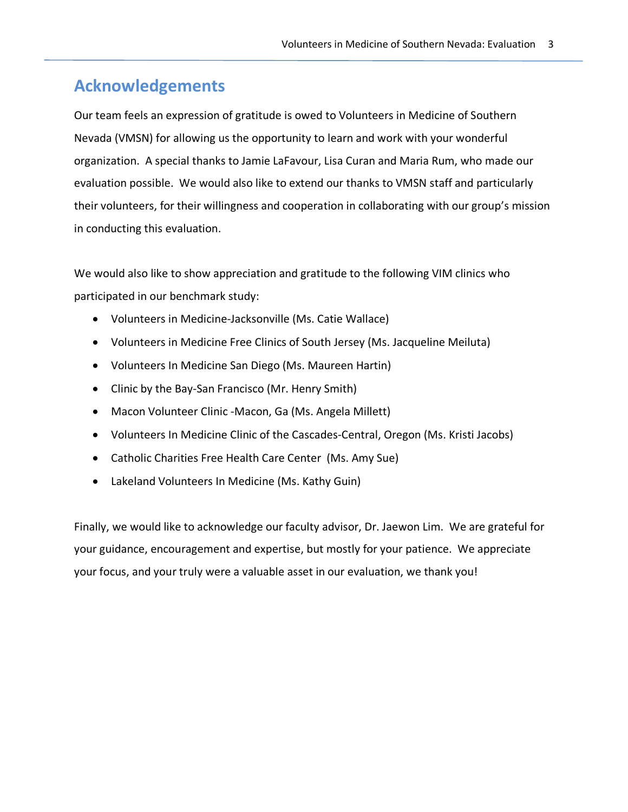# **Acknowledgements**

Our team feels an expression of gratitude is owed to Volunteers in Medicine of Southern Nevada (VMSN) for allowing us the opportunity to learn and work with your wonderful organization. A special thanks to Jamie LaFavour, Lisa Curan and Maria Rum, who made our evaluation possible. We would also like to extend our thanks to VMSN staff and particularly their volunteers, for their willingness and cooperation in collaborating with our group's mission in conducting this evaluation.

We would also like to show appreciation and gratitude to the following VIM clinics who participated in our benchmark study:

- Volunteers in Medicine-Jacksonville (Ms. Catie Wallace)
- Volunteers in Medicine Free Clinics of South Jersey (Ms. Jacqueline Meiluta)
- Volunteers In Medicine San Diego (Ms. Maureen Hartin)
- Clinic by the Bay-San Francisco (Mr. Henry Smith)
- Macon Volunteer Clinic -Macon, Ga (Ms. Angela Millett)
- Volunteers In Medicine Clinic of the Cascades-Central, Oregon (Ms. Kristi Jacobs)
- Catholic Charities Free Health Care Center (Ms. Amy Sue)
- Lakeland Volunteers In Medicine (Ms. Kathy Guin)

Finally, we would like to acknowledge our faculty advisor, Dr. Jaewon Lim. We are grateful for your guidance, encouragement and expertise, but mostly for your patience. We appreciate your focus, and your truly were a valuable asset in our evaluation, we thank you!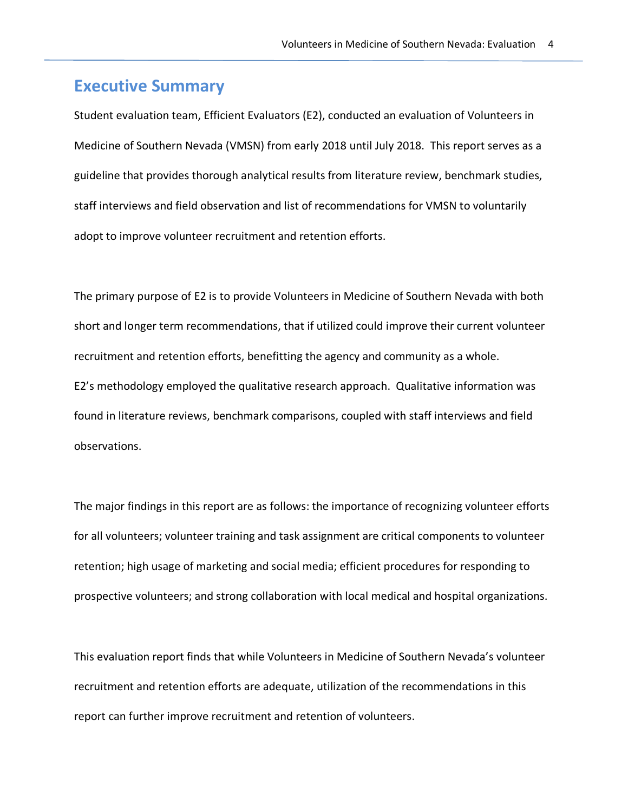# **Executive Summary**

Student evaluation team, Efficient Evaluators (E2), conducted an evaluation of Volunteers in Medicine of Southern Nevada (VMSN) from early 2018 until July 2018. This report serves as a guideline that provides thorough analytical results from literature review, benchmark studies, staff interviews and field observation and list of recommendations for VMSN to voluntarily adopt to improve volunteer recruitment and retention efforts.

The primary purpose of E2 is to provide Volunteers in Medicine of Southern Nevada with both short and longer term recommendations, that if utilized could improve their current volunteer recruitment and retention efforts, benefitting the agency and community as a whole. E2's methodology employed the qualitative research approach. Qualitative information was found in literature reviews, benchmark comparisons, coupled with staff interviews and field observations.

The major findings in this report are as follows: the importance of recognizing volunteer efforts for all volunteers; volunteer training and task assignment are critical components to volunteer retention; high usage of marketing and social media; efficient procedures for responding to prospective volunteers; and strong collaboration with local medical and hospital organizations.

This evaluation report finds that while Volunteers in Medicine of Southern Nevada's volunteer recruitment and retention efforts are adequate, utilization of the recommendations in this report can further improve recruitment and retention of volunteers.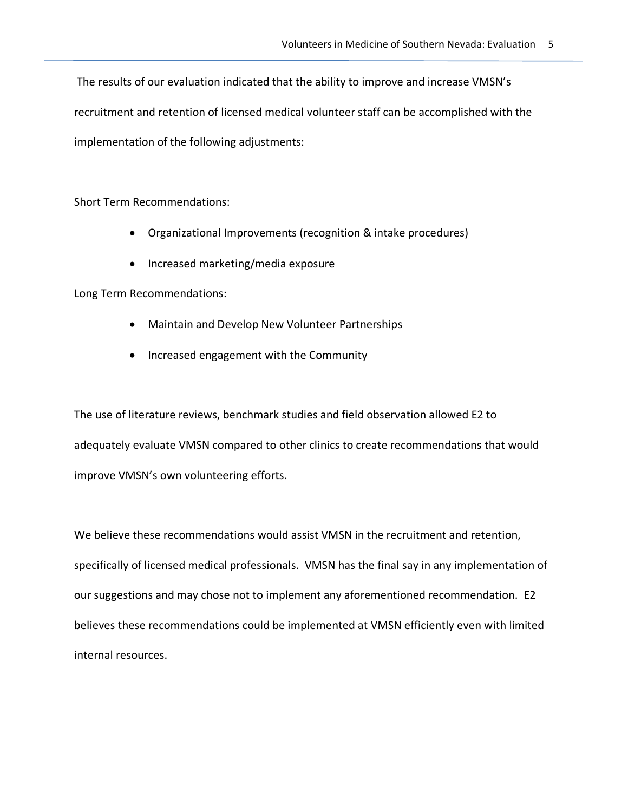The results of our evaluation indicated that the ability to improve and increase VMSN's recruitment and retention of licensed medical volunteer staff can be accomplished with the implementation of the following adjustments:

Short Term Recommendations:

- Organizational Improvements (recognition & intake procedures)
- Increased marketing/media exposure

Long Term Recommendations:

- Maintain and Develop New Volunteer Partnerships
- Increased engagement with the Community

The use of literature reviews, benchmark studies and field observation allowed E2 to adequately evaluate VMSN compared to other clinics to create recommendations that would improve VMSN's own volunteering efforts.

We believe these recommendations would assist VMSN in the recruitment and retention, specifically of licensed medical professionals. VMSN has the final say in any implementation of our suggestions and may chose not to implement any aforementioned recommendation. E2 believes these recommendations could be implemented at VMSN efficiently even with limited internal resources.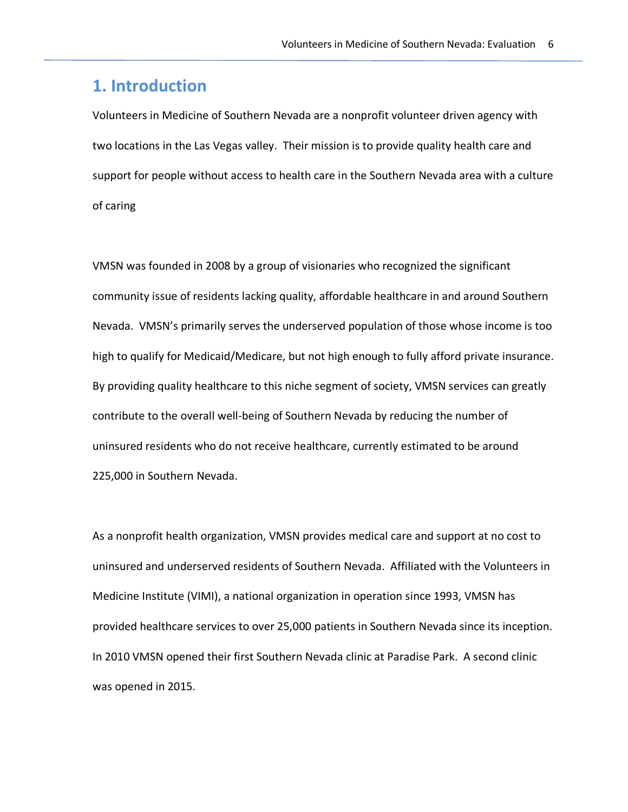# **1. Introduction**

Volunteers in Medicine of Southern Nevada are a nonprofit volunteer driven agency with two locations in the Las Vegas valley. Their mission is to provide quality health care and support for people without access to health care in the Southern Nevada area with a culture of caring

VMSN was founded in 2008 by a group of visionaries who recognized the significant community issue of residents lacking quality, affordable healthcare in and around Southern Nevada. VMSN's primarily serves the underserved population of those whose income is too high to qualify for Medicaid/Medicare, but not high enough to fully afford private insurance. By providing quality healthcare to this niche segment of society, VMSN services can greatly contribute to the overall well-being of Southern Nevada by reducing the number of uninsured residents who do not receive healthcare, currently estimated to be around 225,000 in Southern Nevada.

As a nonprofit health organization, VMSN provides medical care and support at no cost to uninsured and underserved residents of Southern Nevada. Affiliated with the Volunteers in Medicine Institute (VIMI), a national organization in operation since 1993, VMSN has provided healthcare services to over 25,000 patients in Southern Nevada since its inception. In 2010 VMSN opened their first Southern Nevada clinic at Paradise Park. A second clinic was opened in 2015.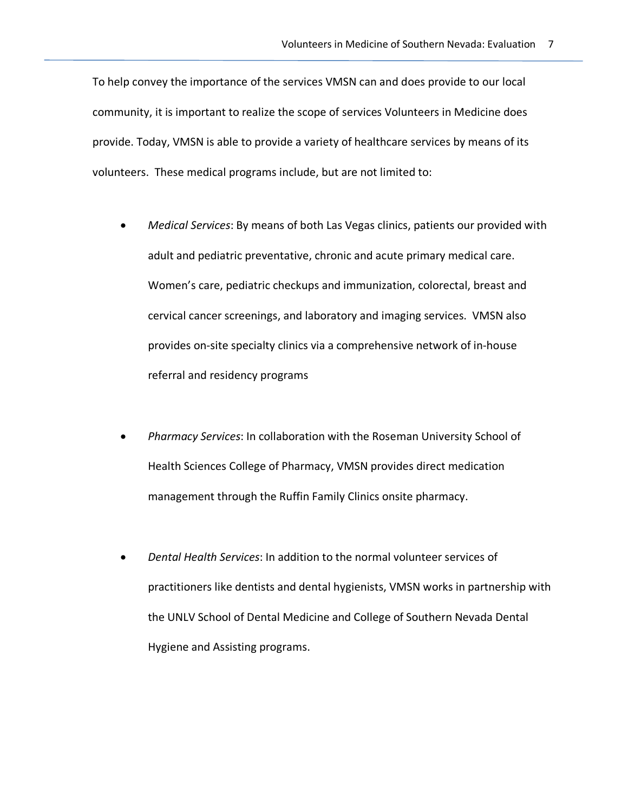To help convey the importance of the services VMSN can and does provide to our local community, it is important to realize the scope of services Volunteers in Medicine does provide. Today, VMSN is able to provide a variety of healthcare services by means of its volunteers. These medical programs include, but are not limited to:

- *Medical Services*: By means of both Las Vegas clinics, patients our provided with adult and pediatric preventative, chronic and acute primary medical care. Women's care, pediatric checkups and immunization, colorectal, breast and cervical cancer screenings, and laboratory and imaging services. VMSN also provides on-site specialty clinics via a comprehensive network of in-house referral and residency programs
- *Pharmacy Services*: In collaboration with the Roseman University School of Health Sciences College of Pharmacy, VMSN provides direct medication management through the Ruffin Family Clinics onsite pharmacy.
- *Dental Health Services*: In addition to the normal volunteer services of practitioners like dentists and dental hygienists, VMSN works in partnership with the UNLV School of Dental Medicine and College of Southern Nevada Dental Hygiene and Assisting programs.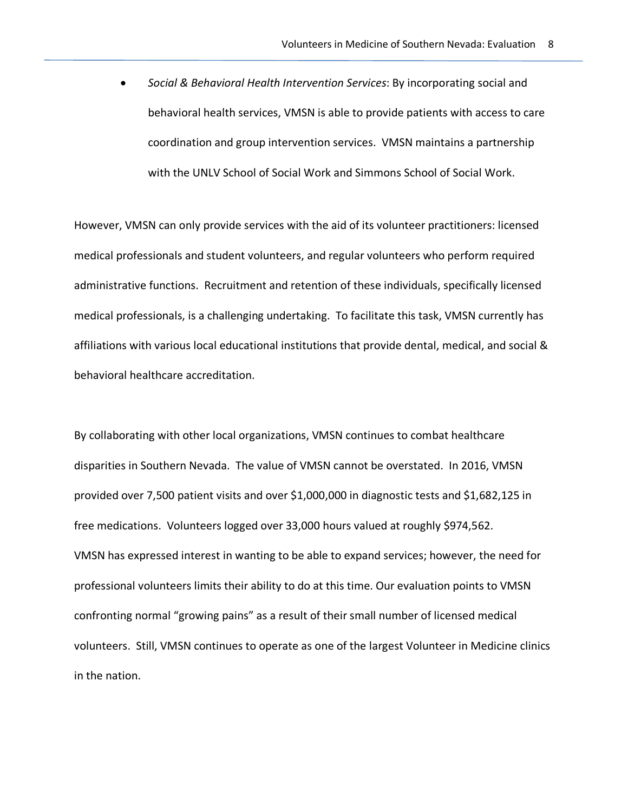• *Social & Behavioral Health Intervention Services*: By incorporating social and behavioral health services, VMSN is able to provide patients with access to care coordination and group intervention services. VMSN maintains a partnership with the UNLV School of Social Work and Simmons School of Social Work.

However, VMSN can only provide services with the aid of its volunteer practitioners: licensed medical professionals and student volunteers, and regular volunteers who perform required administrative functions. Recruitment and retention of these individuals, specifically licensed medical professionals, is a challenging undertaking. To facilitate this task, VMSN currently has affiliations with various local educational institutions that provide dental, medical, and social & behavioral healthcare accreditation.

By collaborating with other local organizations, VMSN continues to combat healthcare disparities in Southern Nevada. The value of VMSN cannot be overstated. In 2016, VMSN provided over 7,500 patient visits and over \$1,000,000 in diagnostic tests and \$1,682,125 in free medications. Volunteers logged over 33,000 hours valued at roughly \$974,562. VMSN has expressed interest in wanting to be able to expand services; however, the need for professional volunteers limits their ability to do at this time. Our evaluation points to VMSN confronting normal "growing pains" as a result of their small number of licensed medical volunteers. Still, VMSN continues to operate as one of the largest Volunteer in Medicine clinics in the nation.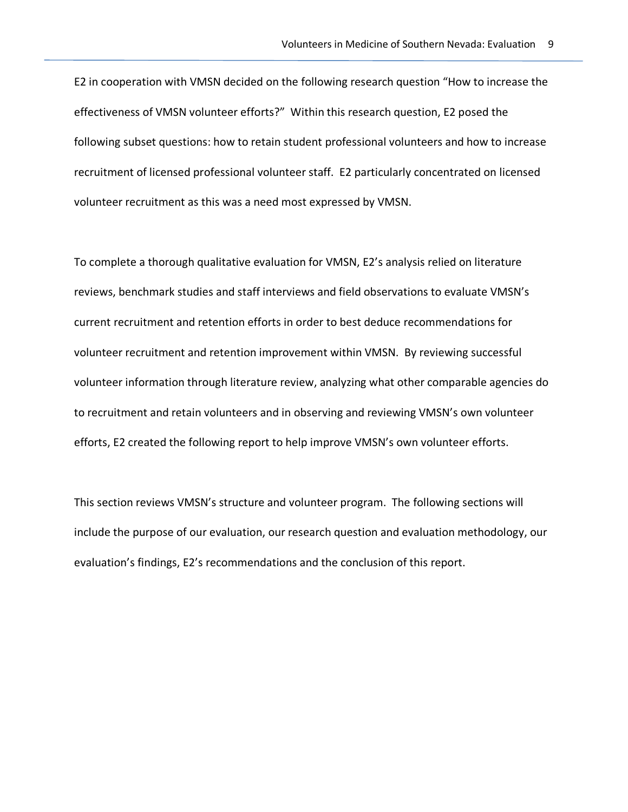E2 in cooperation with VMSN decided on the following research question "How to increase the effectiveness of VMSN volunteer efforts?" Within this research question, E2 posed the following subset questions: how to retain student professional volunteers and how to increase recruitment of licensed professional volunteer staff. E2 particularly concentrated on licensed volunteer recruitment as this was a need most expressed by VMSN.

To complete a thorough qualitative evaluation for VMSN, E2's analysis relied on literature reviews, benchmark studies and staff interviews and field observations to evaluate VMSN's current recruitment and retention efforts in order to best deduce recommendations for volunteer recruitment and retention improvement within VMSN. By reviewing successful volunteer information through literature review, analyzing what other comparable agencies do to recruitment and retain volunteers and in observing and reviewing VMSN's own volunteer efforts, E2 created the following report to help improve VMSN's own volunteer efforts.

This section reviews VMSN's structure and volunteer program. The following sections will include the purpose of our evaluation, our research question and evaluation methodology, our evaluation's findings, E2's recommendations and the conclusion of this report.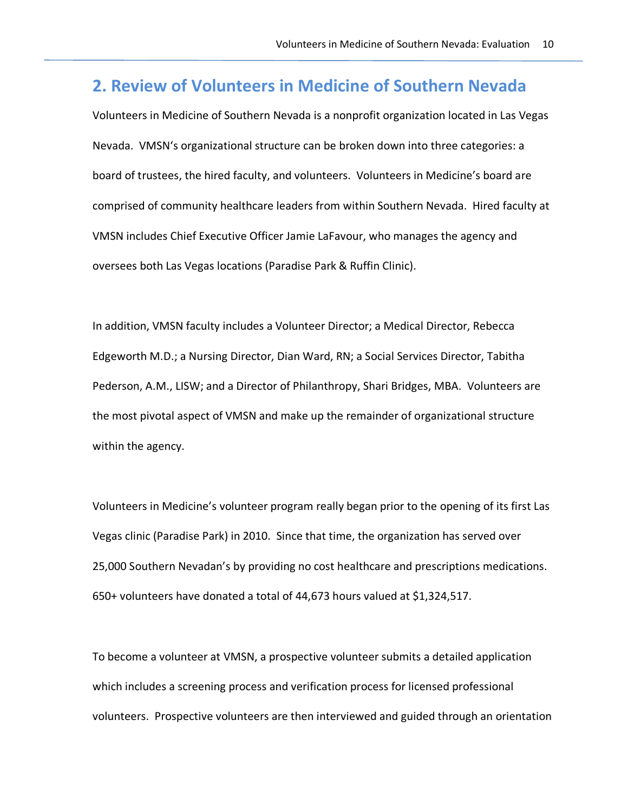# **2. Review of Volunteers in Medicine of Southern Nevada**

Volunteers in Medicine of Southern Nevada is a nonprofit organization located in Las Vegas Nevada. VMSN's organizational structure can be broken down into three categories: a board of trustees, the hired faculty, and volunteers. Volunteers in Medicine's board are comprised of community healthcare leaders from within Southern Nevada. Hired faculty at VMSN includes Chief Executive Officer Jamie LaFavour, who manages the agency and oversees both Las Vegas locations (Paradise Park & Ruffin Clinic).

In addition, VMSN faculty includes a Volunteer Director; a Medical Director, Rebecca Edgeworth M.D.; a Nursing Director, Dian Ward, RN; a Social Services Director, Tabitha Pederson, A.M., LISW; and a Director of Philanthropy, Shari Bridges, MBA. Volunteers are the most pivotal aspect of VMSN and make up the remainder of organizational structure within the agency.

Volunteers in Medicine's volunteer program really began prior to the opening of its first Las Vegas clinic (Paradise Park) in 2010. Since that time, the organization has served over 25,000 Southern Nevadan's by providing no cost healthcare and prescriptions medications. 650+ volunteers have donated a total of 44,673 hours valued at \$1,324,517.

To become a volunteer at VMSN, a prospective volunteer submits a detailed application which includes a screening process and verification process for licensed professional volunteers. Prospective volunteers are then interviewed and guided through an orientation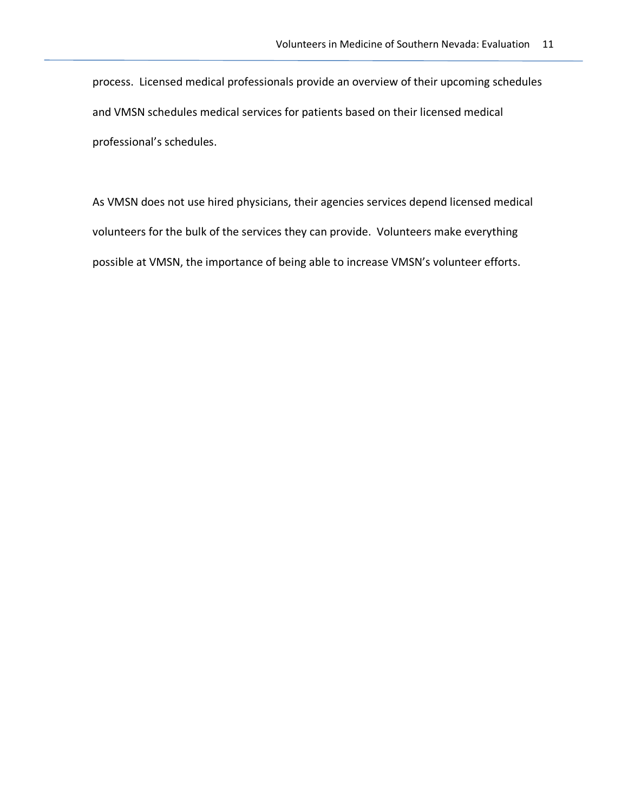process. Licensed medical professionals provide an overview of their upcoming schedules and VMSN schedules medical services for patients based on their licensed medical professional's schedules.

As VMSN does not use hired physicians, their agencies services depend licensed medical volunteers for the bulk of the services they can provide. Volunteers make everything possible at VMSN, the importance of being able to increase VMSN's volunteer efforts.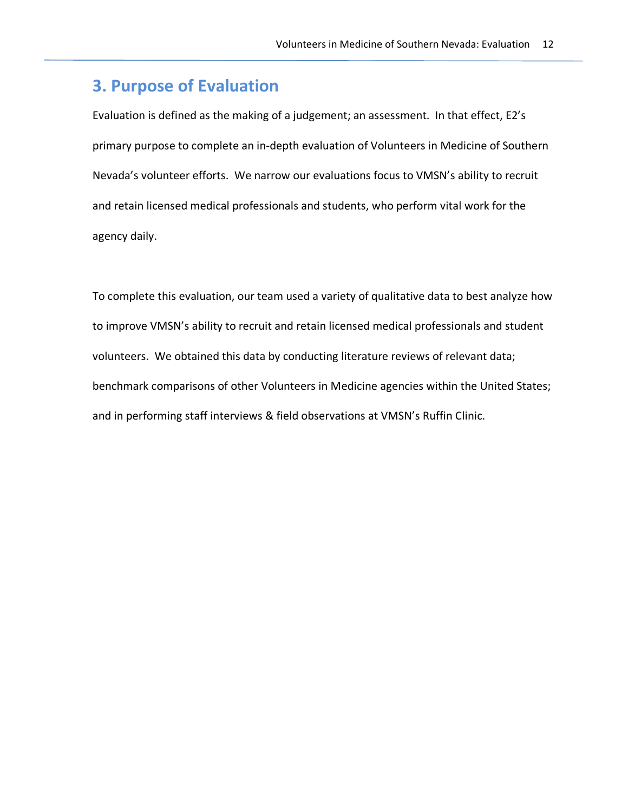# **3. Purpose of Evaluation**

Evaluation is defined as the making of a judgement; an assessment. In that effect, E2's primary purpose to complete an in-depth evaluation of Volunteers in Medicine of Southern Nevada's volunteer efforts. We narrow our evaluations focus to VMSN's ability to recruit and retain licensed medical professionals and students, who perform vital work for the agency daily.

To complete this evaluation, our team used a variety of qualitative data to best analyze how to improve VMSN's ability to recruit and retain licensed medical professionals and student volunteers. We obtained this data by conducting literature reviews of relevant data; benchmark comparisons of other Volunteers in Medicine agencies within the United States; and in performing staff interviews & field observations at VMSN's Ruffin Clinic.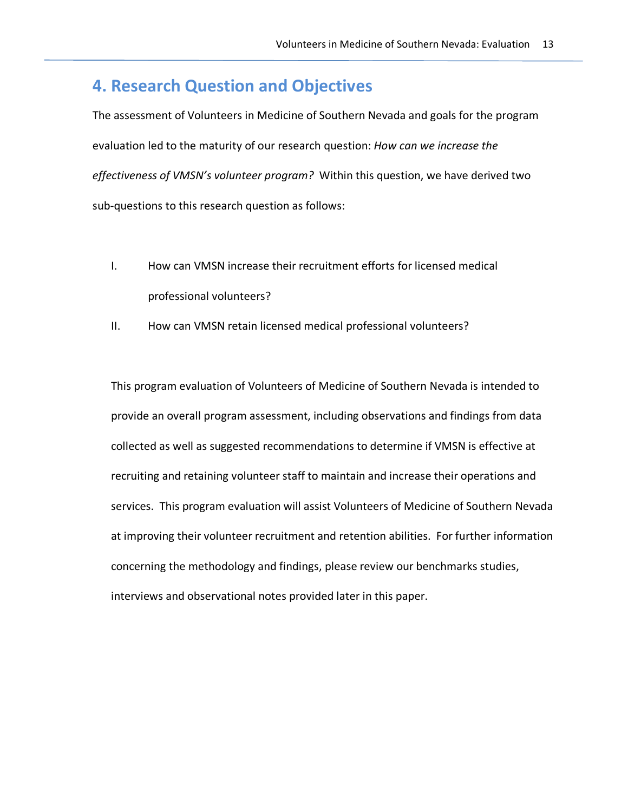# **4. Research Question and Objectives**

The assessment of Volunteers in Medicine of Southern Nevada and goals for the program evaluation led to the maturity of our research question: *How can we increase the effectiveness of VMSN's volunteer program?* Within this question, we have derived two sub-questions to this research question as follows:

- I. How can VMSN increase their recruitment efforts for licensed medical professional volunteers?
- II. How can VMSN retain licensed medical professional volunteers?

This program evaluation of Volunteers of Medicine of Southern Nevada is intended to provide an overall program assessment, including observations and findings from data collected as well as suggested recommendations to determine if VMSN is effective at recruiting and retaining volunteer staff to maintain and increase their operations and services. This program evaluation will assist Volunteers of Medicine of Southern Nevada at improving their volunteer recruitment and retention abilities. For further information concerning the methodology and findings, please review our benchmarks studies, interviews and observational notes provided later in this paper.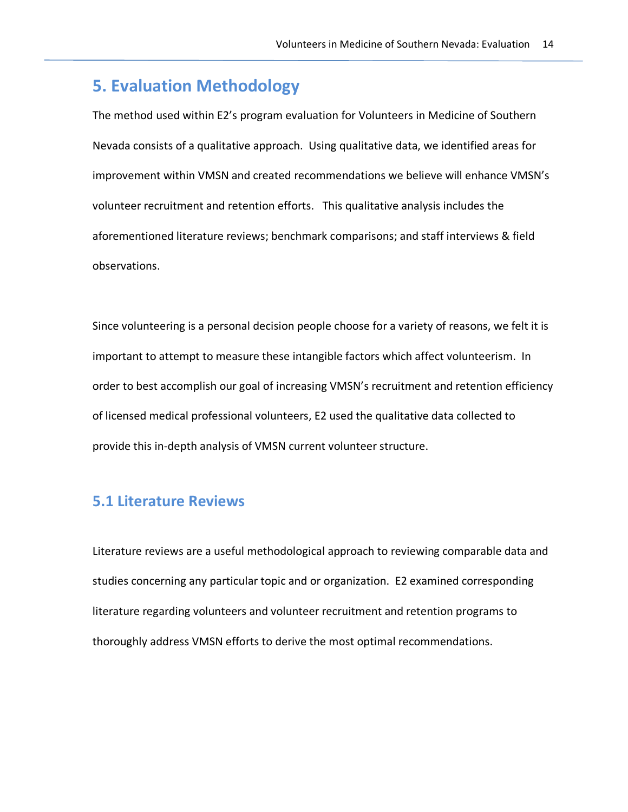# **5. Evaluation Methodology**

The method used within E2's program evaluation for Volunteers in Medicine of Southern Nevada consists of a qualitative approach. Using qualitative data, we identified areas for improvement within VMSN and created recommendations we believe will enhance VMSN's volunteer recruitment and retention efforts. This qualitative analysis includes the aforementioned literature reviews; benchmark comparisons; and staff interviews & field observations.

Since volunteering is a personal decision people choose for a variety of reasons, we felt it is important to attempt to measure these intangible factors which affect volunteerism. In order to best accomplish our goal of increasing VMSN's recruitment and retention efficiency of licensed medical professional volunteers, E2 used the qualitative data collected to provide this in-depth analysis of VMSN current volunteer structure.

# **5.1 Literature Reviews**

Literature reviews are a useful methodological approach to reviewing comparable data and studies concerning any particular topic and or organization. E2 examined corresponding literature regarding volunteers and volunteer recruitment and retention programs to thoroughly address VMSN efforts to derive the most optimal recommendations.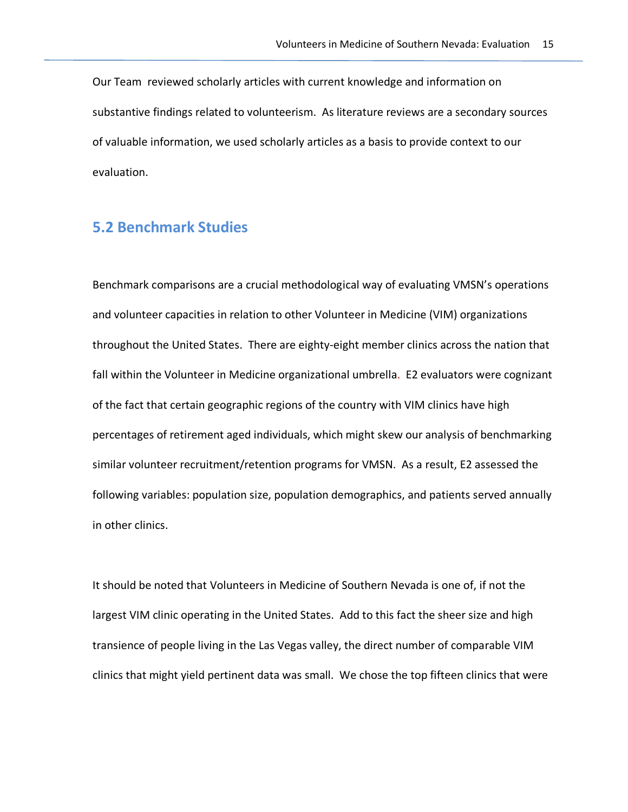Our Team reviewed scholarly articles with current knowledge and information on substantive findings related to volunteerism. As literature reviews are a secondary sources of valuable information, we used scholarly articles as a basis to provide context to our evaluation.

# **5.2 Benchmark Studies**

Benchmark comparisons are a crucial methodological way of evaluating VMSN's operations and volunteer capacities in relation to other Volunteer in Medicine (VIM) organizations throughout the United States. There are eighty-eight member clinics across the nation that fall within the Volunteer in Medicine organizational umbrella. E2 evaluators were cognizant of the fact that certain geographic regions of the country with VIM clinics have high percentages of retirement aged individuals, which might skew our analysis of benchmarking similar volunteer recruitment/retention programs for VMSN. As a result, E2 assessed the following variables: population size, population demographics, and patients served annually in other clinics.

It should be noted that Volunteers in Medicine of Southern Nevada is one of, if not the largest VIM clinic operating in the United States. Add to this fact the sheer size and high transience of people living in the Las Vegas valley, the direct number of comparable VIM clinics that might yield pertinent data was small. We chose the top fifteen clinics that were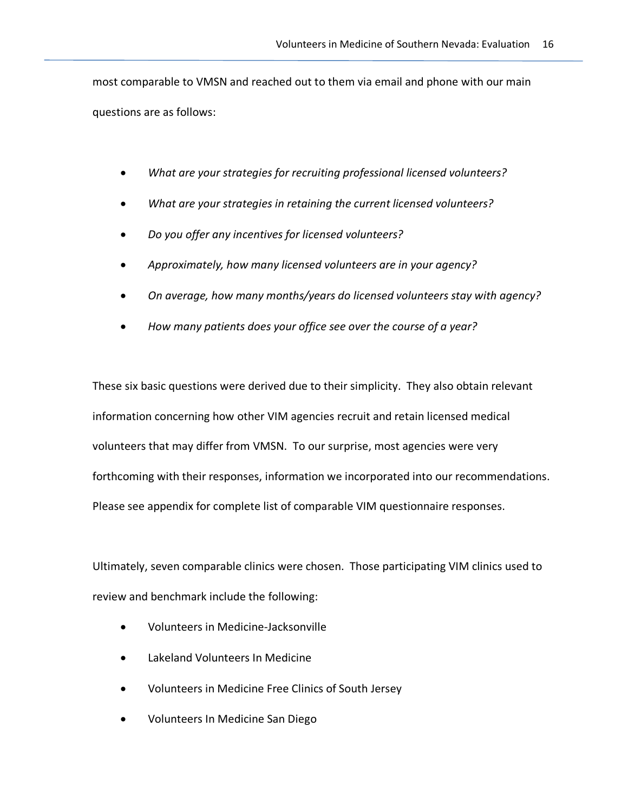most comparable to VMSN and reached out to them via email and phone with our main questions are as follows:

- *What are your strategies for recruiting professional licensed volunteers?*
- *What are your strategies in retaining the current licensed volunteers?*
- *Do you offer any incentives for licensed volunteers?*
- *Approximately, how many licensed volunteers are in your agency?*
- *On average, how many months/years do licensed volunteers stay with agency?*
- *How many patients does your office see over the course of a year?*

These six basic questions were derived due to their simplicity. They also obtain relevant information concerning how other VIM agencies recruit and retain licensed medical volunteers that may differ from VMSN. To our surprise, most agencies were very forthcoming with their responses, information we incorporated into our recommendations. Please see appendix for complete list of comparable VIM questionnaire responses.

Ultimately, seven comparable clinics were chosen. Those participating VIM clinics used to review and benchmark include the following:

- Volunteers in Medicine-Jacksonville
- Lakeland Volunteers In Medicine
- Volunteers in Medicine Free Clinics of South Jersey
- Volunteers In Medicine San Diego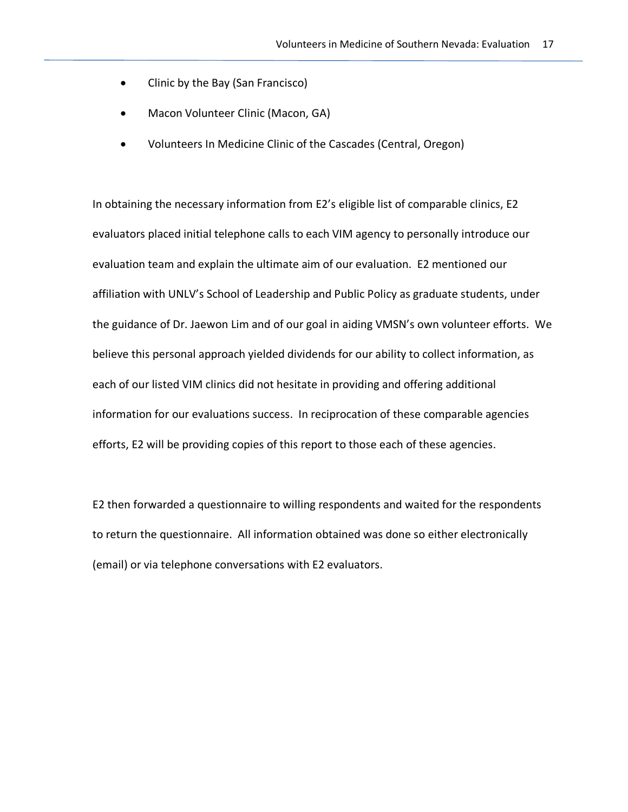- Clinic by the Bay (San Francisco)
- Macon Volunteer Clinic (Macon, GA)
- Volunteers In Medicine Clinic of the Cascades (Central, Oregon)

In obtaining the necessary information from E2's eligible list of comparable clinics, E2 evaluators placed initial telephone calls to each VIM agency to personally introduce our evaluation team and explain the ultimate aim of our evaluation. E2 mentioned our affiliation with UNLV's School of Leadership and Public Policy as graduate students, under the guidance of Dr. Jaewon Lim and of our goal in aiding VMSN's own volunteer efforts. We believe this personal approach yielded dividends for our ability to collect information, as each of our listed VIM clinics did not hesitate in providing and offering additional information for our evaluations success. In reciprocation of these comparable agencies efforts, E2 will be providing copies of this report to those each of these agencies.

E2 then forwarded a questionnaire to willing respondents and waited for the respondents to return the questionnaire. All information obtained was done so either electronically (email) or via telephone conversations with E2 evaluators.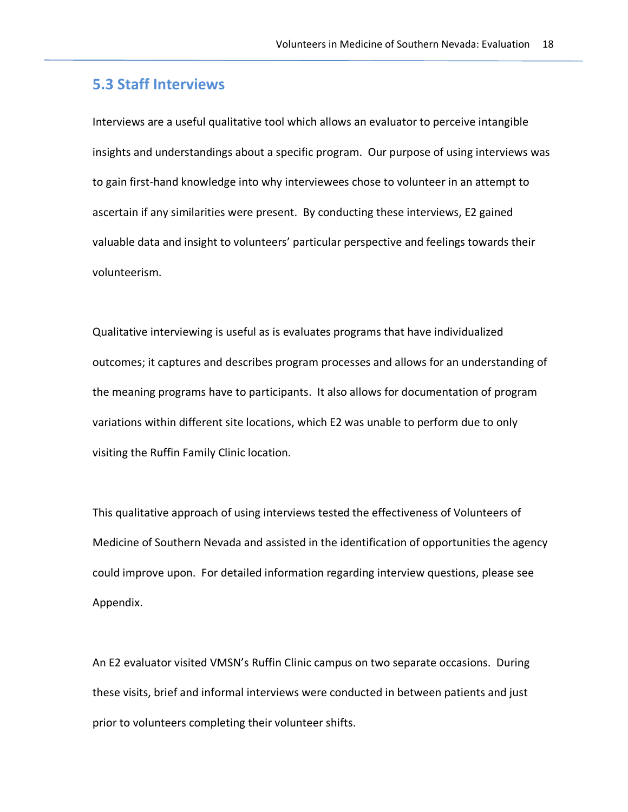# **5.3 Staff Interviews**

Interviews are a useful qualitative tool which allows an evaluator to perceive intangible insights and understandings about a specific program. Our purpose of using interviews was to gain first-hand knowledge into why interviewees chose to volunteer in an attempt to ascertain if any similarities were present. By conducting these interviews, E2 gained valuable data and insight to volunteers' particular perspective and feelings towards their volunteerism.

Qualitative interviewing is useful as is evaluates programs that have individualized outcomes; it captures and describes program processes and allows for an understanding of the meaning programs have to participants. It also allows for documentation of program variations within different site locations, which E2 was unable to perform due to only visiting the Ruffin Family Clinic location.

This qualitative approach of using interviews tested the effectiveness of Volunteers of Medicine of Southern Nevada and assisted in the identification of opportunities the agency could improve upon. For detailed information regarding interview questions, please see Appendix.

An E2 evaluator visited VMSN's Ruffin Clinic campus on two separate occasions. During these visits, brief and informal interviews were conducted in between patients and just prior to volunteers completing their volunteer shifts.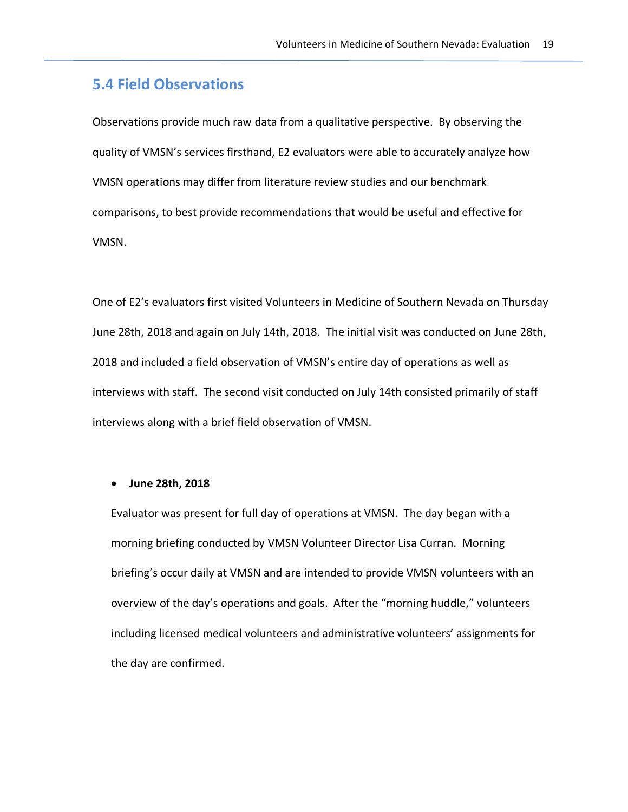# **5.4 Field Observations**

Observations provide much raw data from a qualitative perspective. By observing the quality of VMSN's services firsthand, E2 evaluators were able to accurately analyze how VMSN operations may differ from literature review studies and our benchmark comparisons, to best provide recommendations that would be useful and effective for VMSN.

One of E2's evaluators first visited Volunteers in Medicine of Southern Nevada on Thursday June 28th, 2018 and again on July 14th, 2018. The initial visit was conducted on June 28th, 2018 and included a field observation of VMSN's entire day of operations as well as interviews with staff. The second visit conducted on July 14th consisted primarily of staff interviews along with a brief field observation of VMSN.

#### • **June 28th, 2018**

Evaluator was present for full day of operations at VMSN. The day began with a morning briefing conducted by VMSN Volunteer Director Lisa Curran. Morning briefing's occur daily at VMSN and are intended to provide VMSN volunteers with an overview of the day's operations and goals. After the "morning huddle," volunteers including licensed medical volunteers and administrative volunteers' assignments for the day are confirmed.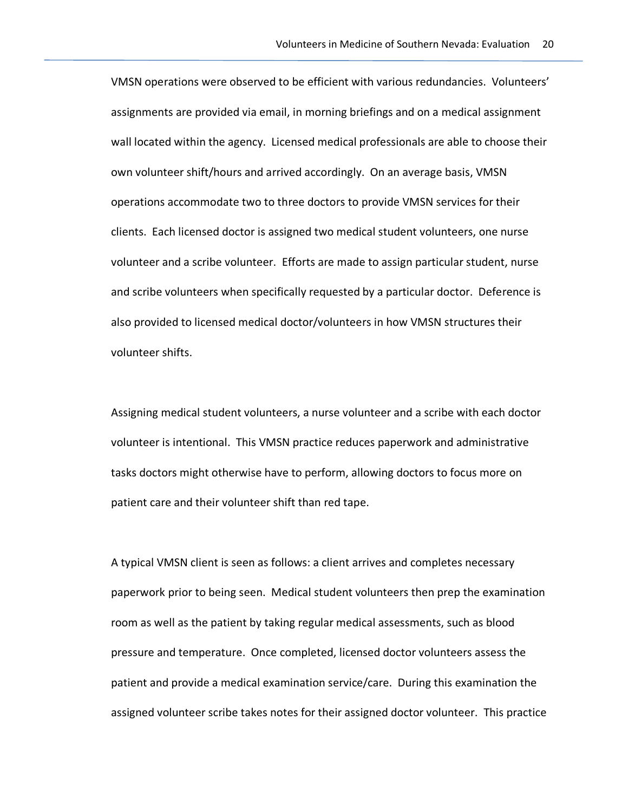VMSN operations were observed to be efficient with various redundancies. Volunteers' assignments are provided via email, in morning briefings and on a medical assignment wall located within the agency. Licensed medical professionals are able to choose their own volunteer shift/hours and arrived accordingly. On an average basis, VMSN operations accommodate two to three doctors to provide VMSN services for their clients. Each licensed doctor is assigned two medical student volunteers, one nurse volunteer and a scribe volunteer. Efforts are made to assign particular student, nurse and scribe volunteers when specifically requested by a particular doctor. Deference is also provided to licensed medical doctor/volunteers in how VMSN structures their volunteer shifts.

Assigning medical student volunteers, a nurse volunteer and a scribe with each doctor volunteer is intentional. This VMSN practice reduces paperwork and administrative tasks doctors might otherwise have to perform, allowing doctors to focus more on patient care and their volunteer shift than red tape.

A typical VMSN client is seen as follows: a client arrives and completes necessary paperwork prior to being seen. Medical student volunteers then prep the examination room as well as the patient by taking regular medical assessments, such as blood pressure and temperature. Once completed, licensed doctor volunteers assess the patient and provide a medical examination service/care. During this examination the assigned volunteer scribe takes notes for their assigned doctor volunteer. This practice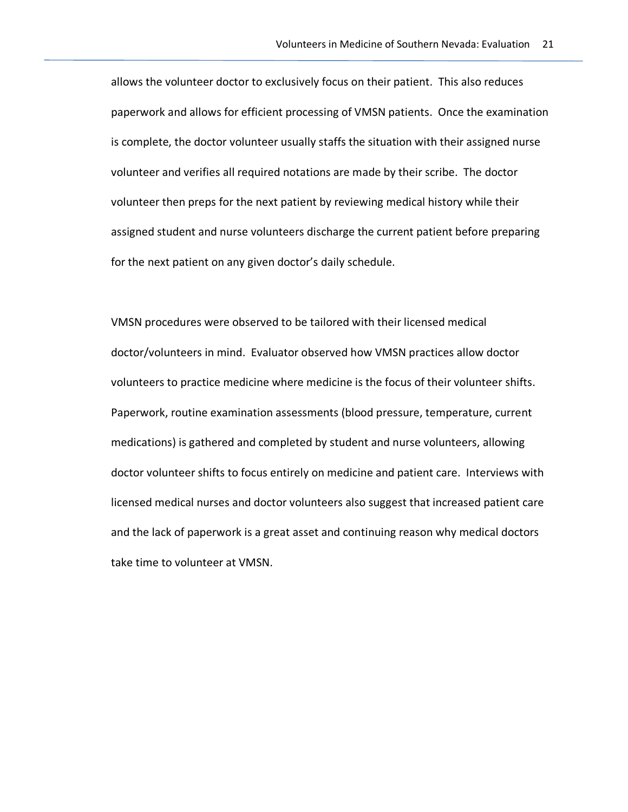allows the volunteer doctor to exclusively focus on their patient. This also reduces paperwork and allows for efficient processing of VMSN patients. Once the examination is complete, the doctor volunteer usually staffs the situation with their assigned nurse volunteer and verifies all required notations are made by their scribe. The doctor volunteer then preps for the next patient by reviewing medical history while their assigned student and nurse volunteers discharge the current patient before preparing for the next patient on any given doctor's daily schedule.

VMSN procedures were observed to be tailored with their licensed medical doctor/volunteers in mind. Evaluator observed how VMSN practices allow doctor volunteers to practice medicine where medicine is the focus of their volunteer shifts. Paperwork, routine examination assessments (blood pressure, temperature, current medications) is gathered and completed by student and nurse volunteers, allowing doctor volunteer shifts to focus entirely on medicine and patient care. Interviews with licensed medical nurses and doctor volunteers also suggest that increased patient care and the lack of paperwork is a great asset and continuing reason why medical doctors take time to volunteer at VMSN.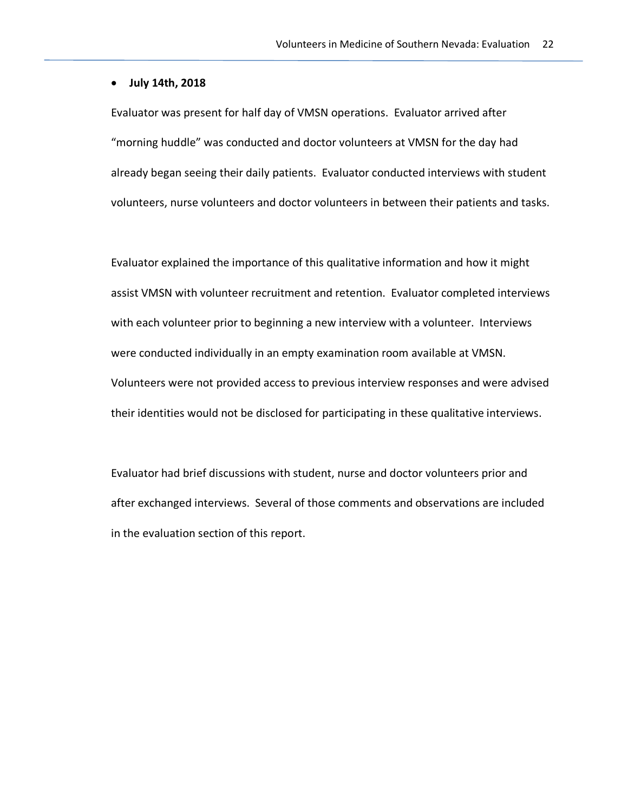#### • **July 14th, 2018**

Evaluator was present for half day of VMSN operations. Evaluator arrived after "morning huddle" was conducted and doctor volunteers at VMSN for the day had already began seeing their daily patients. Evaluator conducted interviews with student volunteers, nurse volunteers and doctor volunteers in between their patients and tasks.

Evaluator explained the importance of this qualitative information and how it might assist VMSN with volunteer recruitment and retention. Evaluator completed interviews with each volunteer prior to beginning a new interview with a volunteer. Interviews were conducted individually in an empty examination room available at VMSN. Volunteers were not provided access to previous interview responses and were advised their identities would not be disclosed for participating in these qualitative interviews.

Evaluator had brief discussions with student, nurse and doctor volunteers prior and after exchanged interviews. Several of those comments and observations are included in the evaluation section of this report.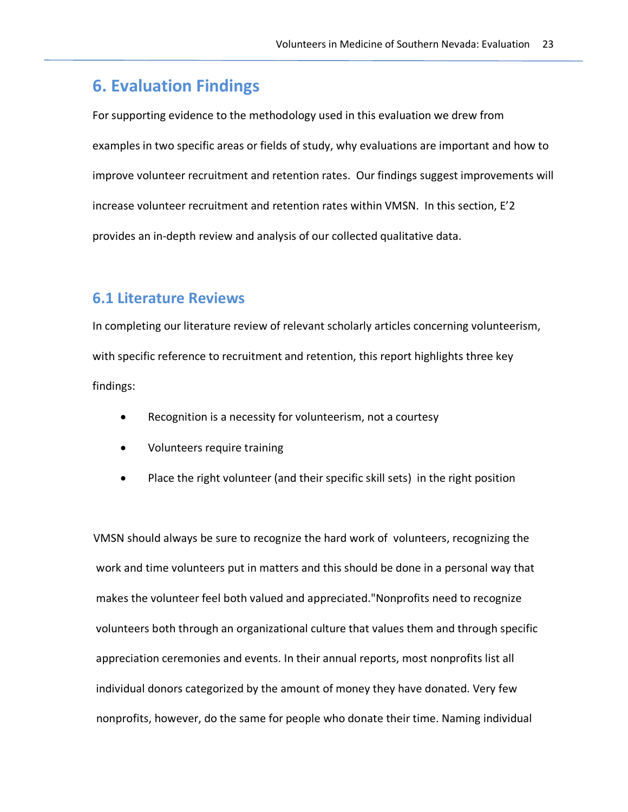# **6. Evaluation Findings**

For supporting evidence to the methodology used in this evaluation we drew from examples in two specific areas or fields of study, why evaluations are important and how to improve volunteer recruitment and retention rates. Our findings suggest improvements will increase volunteer recruitment and retention rates within VMSN. In this section, E'2 provides an in-depth review and analysis of our collected qualitative data.

## **6.1 Literature Reviews**

In completing our literature review of relevant scholarly articles concerning volunteerism, with specific reference to recruitment and retention, this report highlights three key findings:

- Recognition is a necessity for volunteerism, not a courtesy
- Volunteers require training
- Place the right volunteer (and their specific skill sets) in the right position

 VMSN should always be sure to recognize the hard work of volunteers, recognizing the work and time volunteers put in matters and this should be done in a personal way that makes the volunteer feel both valued and appreciated."Nonprofits need to recognize volunteers both through an organizational culture that values them and through specific appreciation ceremonies and events. In their annual reports, most nonprofits list all individual donors categorized by the amount of money they have donated. Very few nonprofits, however, do the same for people who donate their time. Naming individual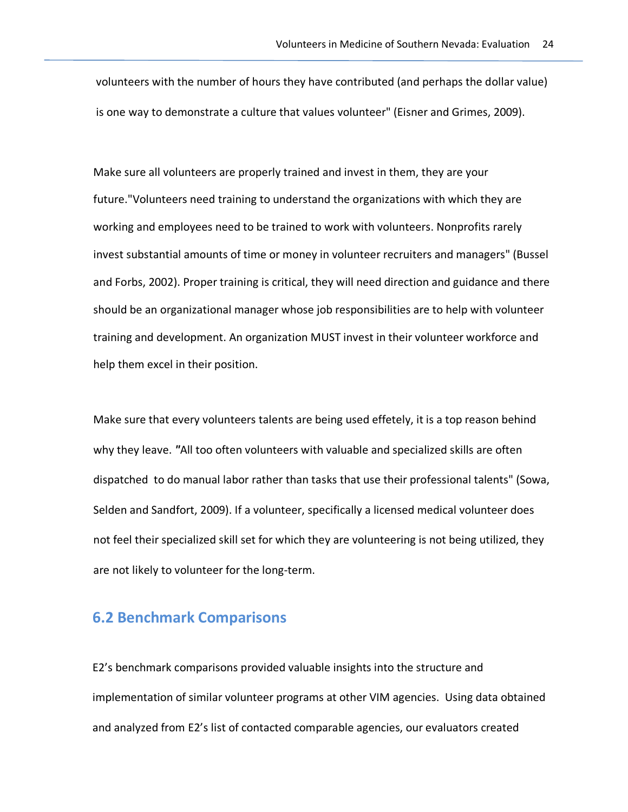volunteers with the number of hours they have contributed (and perhaps the dollar value) is one way to demonstrate a culture that values volunteer" (Eisner and Grimes, 2009).

 Make sure all volunteers are properly trained and invest in them, they are your future."Volunteers need training to understand the organizations with which they are working and employees need to be trained to work with volunteers. Nonprofits rarely invest substantial amounts of time or money in volunteer recruiters and managers" (Bussel and Forbs, 2002). Proper training is critical, they will need direction and guidance and there should be an organizational manager whose job responsibilities are to help with volunteer training and development. An organization MUST invest in their volunteer workforce and help them excel in their position.

 Make sure that every volunteers talents are being used effetely, it is a top reason behind why they leave. *"*All too often volunteers with valuable and specialized skills are often dispatched to do manual labor rather than tasks that use their professional talents" (Sowa, Selden and Sandfort, 2009). If a volunteer, specifically a licensed medical volunteer does not feel their specialized skill set for which they are volunteering is not being utilized, they are not likely to volunteer for the long-term.

# **6.2 Benchmark Comparisons**

E2's benchmark comparisons provided valuable insights into the structure and implementation of similar volunteer programs at other VIM agencies. Using data obtained and analyzed from E2's list of contacted comparable agencies, our evaluators created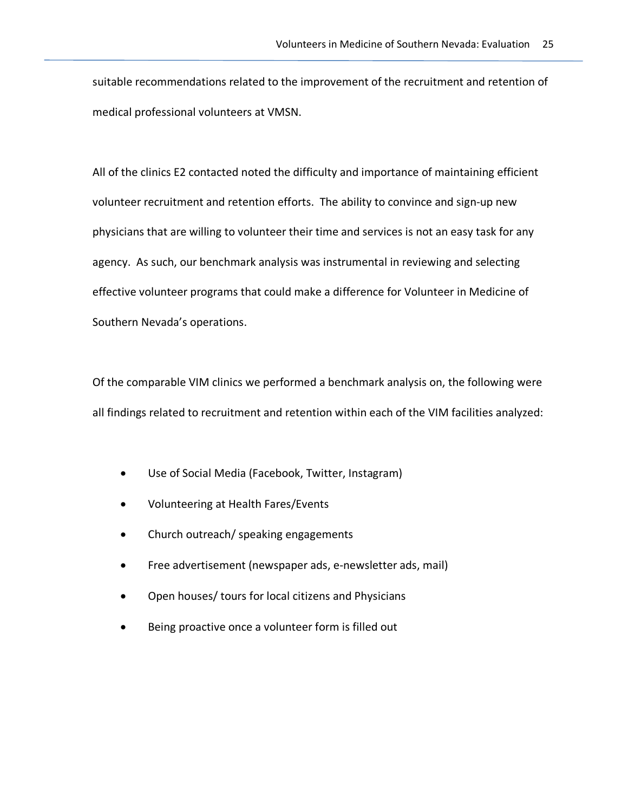suitable recommendations related to the improvement of the recruitment and retention of medical professional volunteers at VMSN.

All of the clinics E2 contacted noted the difficulty and importance of maintaining efficient volunteer recruitment and retention efforts. The ability to convince and sign-up new physicians that are willing to volunteer their time and services is not an easy task for any agency. As such, our benchmark analysis was instrumental in reviewing and selecting effective volunteer programs that could make a difference for Volunteer in Medicine of Southern Nevada's operations.

Of the comparable VIM clinics we performed a benchmark analysis on, the following were all findings related to recruitment and retention within each of the VIM facilities analyzed:

- Use of Social Media (Facebook, Twitter, Instagram)
- Volunteering at Health Fares/Events
- Church outreach/ speaking engagements
- Free advertisement (newspaper ads, e-newsletter ads, mail)
- Open houses/ tours for local citizens and Physicians
- Being proactive once a volunteer form is filled out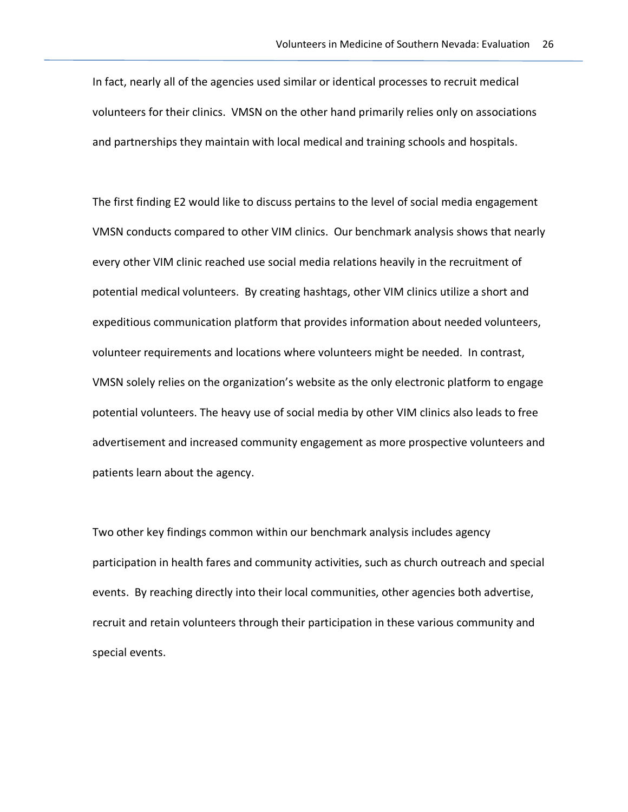In fact, nearly all of the agencies used similar or identical processes to recruit medical volunteers for their clinics. VMSN on the other hand primarily relies only on associations and partnerships they maintain with local medical and training schools and hospitals.

The first finding E2 would like to discuss pertains to the level of social media engagement VMSN conducts compared to other VIM clinics. Our benchmark analysis shows that nearly every other VIM clinic reached use social media relations heavily in the recruitment of potential medical volunteers. By creating hashtags, other VIM clinics utilize a short and expeditious communication platform that provides information about needed volunteers, volunteer requirements and locations where volunteers might be needed. In contrast, VMSN solely relies on the organization's website as the only electronic platform to engage potential volunteers. The heavy use of social media by other VIM clinics also leads to free advertisement and increased community engagement as more prospective volunteers and patients learn about the agency.

Two other key findings common within our benchmark analysis includes agency participation in health fares and community activities, such as church outreach and special events. By reaching directly into their local communities, other agencies both advertise, recruit and retain volunteers through their participation in these various community and special events.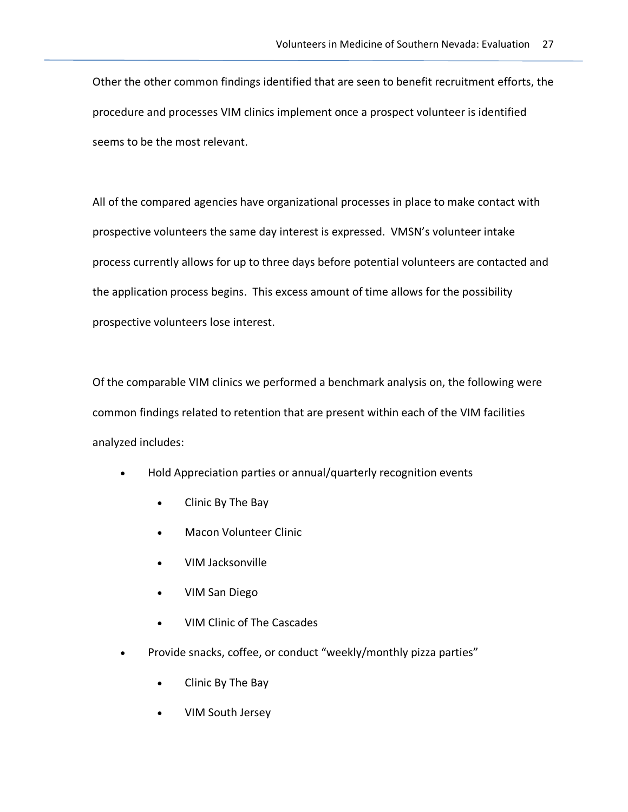Other the other common findings identified that are seen to benefit recruitment efforts, the procedure and processes VIM clinics implement once a prospect volunteer is identified seems to be the most relevant.

All of the compared agencies have organizational processes in place to make contact with prospective volunteers the same day interest is expressed. VMSN's volunteer intake process currently allows for up to three days before potential volunteers are contacted and the application process begins. This excess amount of time allows for the possibility prospective volunteers lose interest.

Of the comparable VIM clinics we performed a benchmark analysis on, the following were common findings related to retention that are present within each of the VIM facilities analyzed includes:

- Hold Appreciation parties or annual/quarterly recognition events
	- Clinic By The Bay
	- Macon Volunteer Clinic
	- VIM Jacksonville
	- VIM San Diego
	- VIM Clinic of The Cascades
- Provide snacks, coffee, or conduct "weekly/monthly pizza parties"
	- Clinic By The Bay
	- VIM South Jersey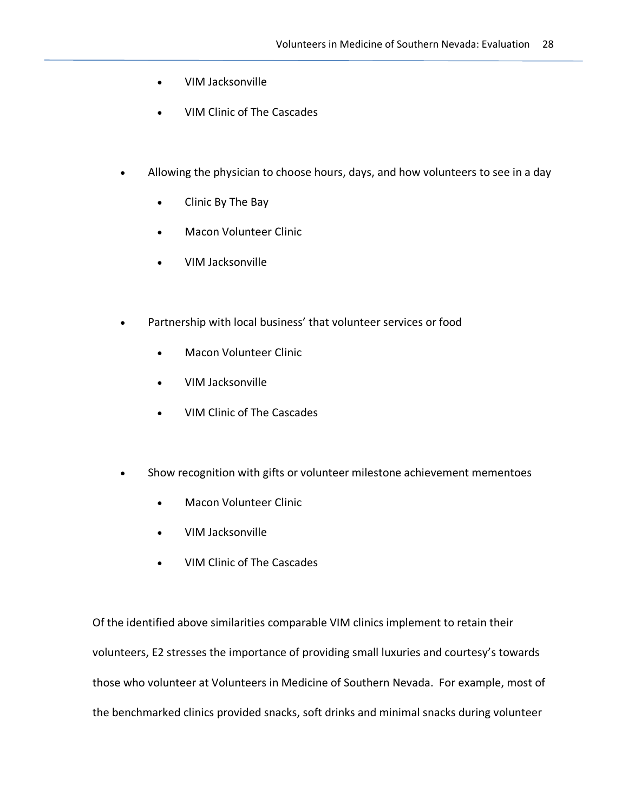- VIM Jacksonville
- VIM Clinic of The Cascades
- Allowing the physician to choose hours, days, and how volunteers to see in a day
	- Clinic By The Bay
	- Macon Volunteer Clinic
	- VIM Jacksonville
- Partnership with local business' that volunteer services or food
	- Macon Volunteer Clinic
	- VIM Jacksonville
	- VIM Clinic of The Cascades
- Show recognition with gifts or volunteer milestone achievement mementoes
	- Macon Volunteer Clinic
	- VIM Jacksonville
	- VIM Clinic of The Cascades

Of the identified above similarities comparable VIM clinics implement to retain their volunteers, E2 stresses the importance of providing small luxuries and courtesy's towards those who volunteer at Volunteers in Medicine of Southern Nevada. For example, most of the benchmarked clinics provided snacks, soft drinks and minimal snacks during volunteer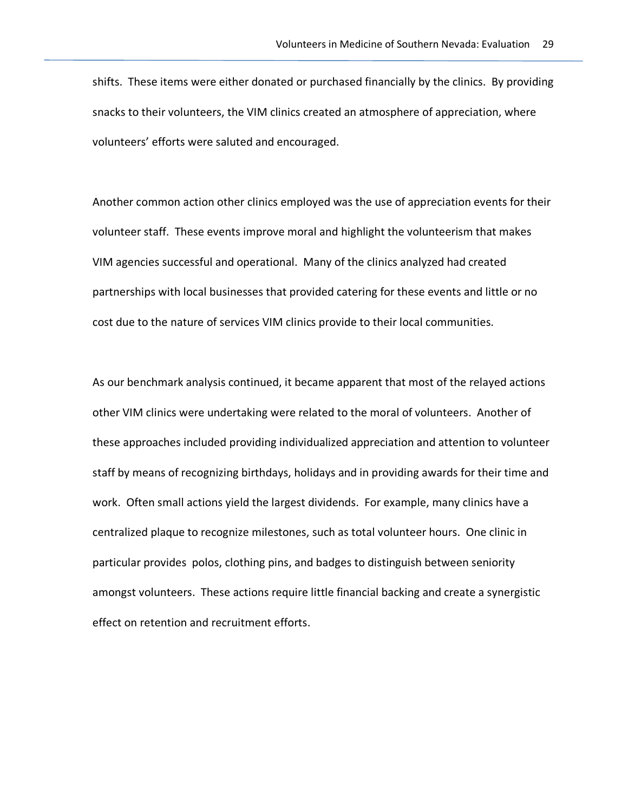shifts. These items were either donated or purchased financially by the clinics. By providing snacks to their volunteers, the VIM clinics created an atmosphere of appreciation, where volunteers' efforts were saluted and encouraged.

Another common action other clinics employed was the use of appreciation events for their volunteer staff. These events improve moral and highlight the volunteerism that makes VIM agencies successful and operational. Many of the clinics analyzed had created partnerships with local businesses that provided catering for these events and little or no cost due to the nature of services VIM clinics provide to their local communities.

As our benchmark analysis continued, it became apparent that most of the relayed actions other VIM clinics were undertaking were related to the moral of volunteers. Another of these approaches included providing individualized appreciation and attention to volunteer staff by means of recognizing birthdays, holidays and in providing awards for their time and work. Often small actions yield the largest dividends. For example, many clinics have a centralized plaque to recognize milestones, such as total volunteer hours. One clinic in particular provides polos, clothing pins, and badges to distinguish between seniority amongst volunteers. These actions require little financial backing and create a synergistic effect on retention and recruitment efforts.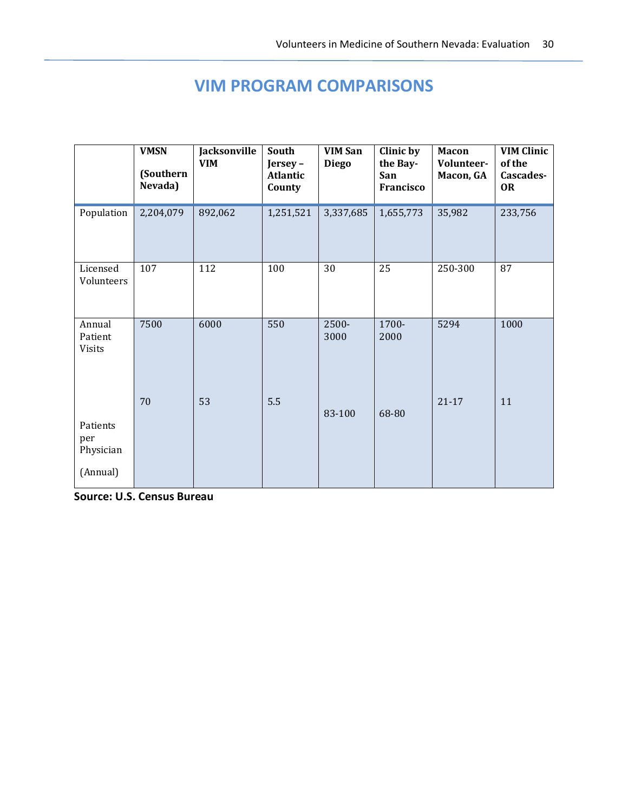# **VIM PROGRAM COMPARISONS**

|                                          | <b>VMSN</b><br>(Southern<br>Nevada) | Jacksonville<br><b>VIM</b> | South<br>Jersey-<br>Atlantic<br>County | <b>VIM San</b><br><b>Diego</b> | Clinic by<br>the Bay-<br>San<br>Francisco | <b>Macon</b><br>Volunteer-<br>Macon, GA | <b>VIM Clinic</b><br>of the<br>Cascades-<br><b>OR</b> |
|------------------------------------------|-------------------------------------|----------------------------|----------------------------------------|--------------------------------|-------------------------------------------|-----------------------------------------|-------------------------------------------------------|
| Population                               | 2,204,079                           | 892,062                    | 1,251,521                              | 3,337,685                      | 1,655,773                                 | 35,982                                  | 233,756                                               |
| Licensed<br>Volunteers                   | 107                                 | 112                        | 100                                    | 30                             | 25                                        | 250-300                                 | 87                                                    |
| Annual<br>Patient<br><b>Visits</b>       | 7500                                | 6000                       | 550                                    | $2500 -$<br>3000               | 1700-<br>2000                             | 5294                                    | 1000                                                  |
| Patients<br>per<br>Physician<br>(Annual) | 70                                  | 53                         | 5.5                                    | 83-100                         | 68-80                                     | $21 - 17$                               | 11                                                    |

**Source: U.S. Census Bureau**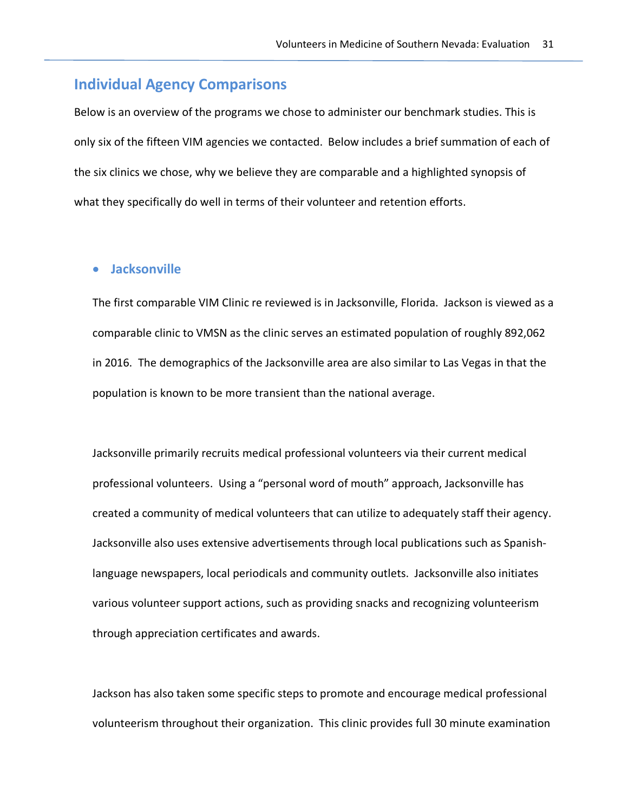## **Individual Agency Comparisons**

Below is an overview of the programs we chose to administer our benchmark studies. This is only six of the fifteen VIM agencies we contacted. Below includes a brief summation of each of the six clinics we chose, why we believe they are comparable and a highlighted synopsis of what they specifically do well in terms of their volunteer and retention efforts.

#### • **Jacksonville**

The first comparable VIM Clinic re reviewed is in Jacksonville, Florida. Jackson is viewed as a comparable clinic to VMSN as the clinic serves an estimated population of roughly 892,062 in 2016. The demographics of the Jacksonville area are also similar to Las Vegas in that the population is known to be more transient than the national average.

Jacksonville primarily recruits medical professional volunteers via their current medical professional volunteers. Using a "personal word of mouth" approach, Jacksonville has created a community of medical volunteers that can utilize to adequately staff their agency. Jacksonville also uses extensive advertisements through local publications such as Spanishlanguage newspapers, local periodicals and community outlets. Jacksonville also initiates various volunteer support actions, such as providing snacks and recognizing volunteerism through appreciation certificates and awards.

Jackson has also taken some specific steps to promote and encourage medical professional volunteerism throughout their organization. This clinic provides full 30 minute examination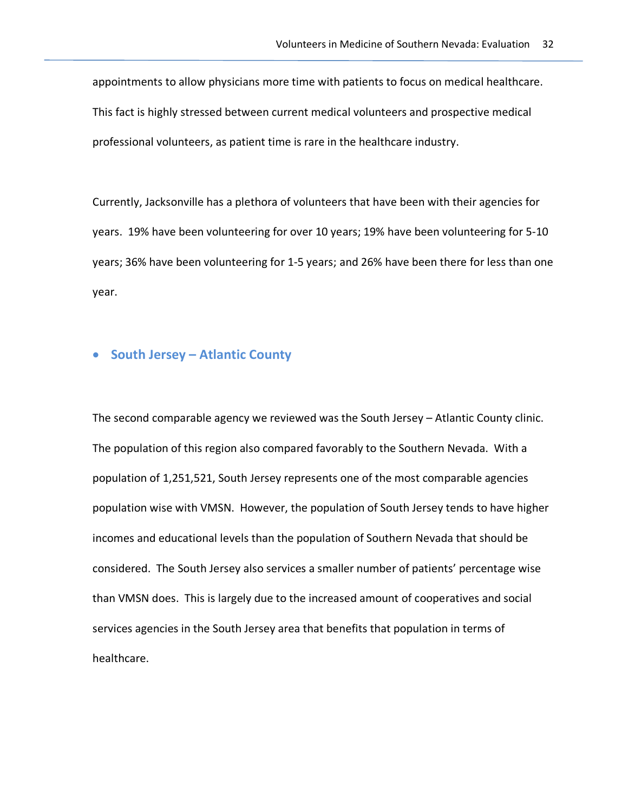appointments to allow physicians more time with patients to focus on medical healthcare. This fact is highly stressed between current medical volunteers and prospective medical professional volunteers, as patient time is rare in the healthcare industry.

Currently, Jacksonville has a plethora of volunteers that have been with their agencies for years. 19% have been volunteering for over 10 years; 19% have been volunteering for 5-10 years; 36% have been volunteering for 1-5 years; and 26% have been there for less than one year.

### • **South Jersey – Atlantic County**

The second comparable agency we reviewed was the South Jersey – Atlantic County clinic. The population of this region also compared favorably to the Southern Nevada. With a population of 1,251,521, South Jersey represents one of the most comparable agencies population wise with VMSN. However, the population of South Jersey tends to have higher incomes and educational levels than the population of Southern Nevada that should be considered. The South Jersey also services a smaller number of patients' percentage wise than VMSN does. This is largely due to the increased amount of cooperatives and social services agencies in the South Jersey area that benefits that population in terms of healthcare.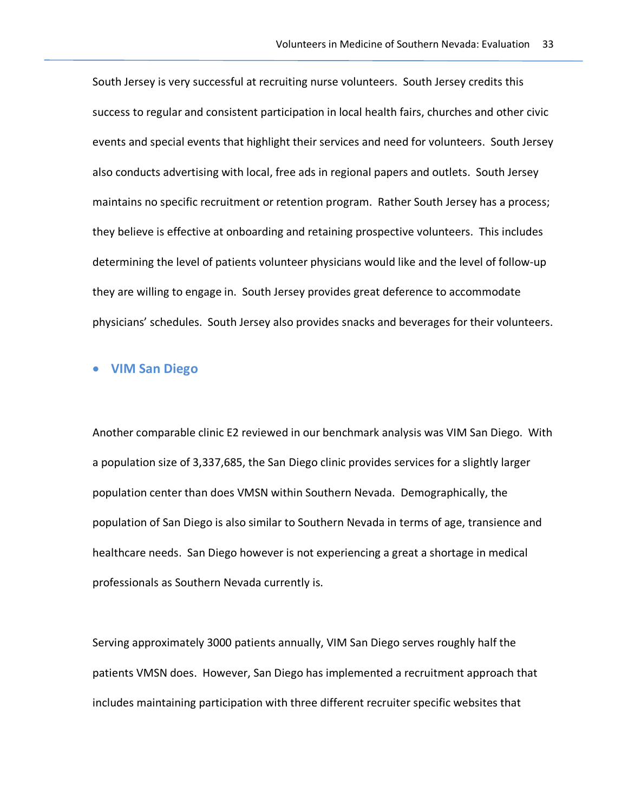South Jersey is very successful at recruiting nurse volunteers. South Jersey credits this success to regular and consistent participation in local health fairs, churches and other civic events and special events that highlight their services and need for volunteers. South Jersey also conducts advertising with local, free ads in regional papers and outlets. South Jersey maintains no specific recruitment or retention program. Rather South Jersey has a process; they believe is effective at onboarding and retaining prospective volunteers. This includes determining the level of patients volunteer physicians would like and the level of follow-up they are willing to engage in. South Jersey provides great deference to accommodate physicians' schedules. South Jersey also provides snacks and beverages for their volunteers.

#### • **VIM San Diego**

Another comparable clinic E2 reviewed in our benchmark analysis was VIM San Diego. With a population size of 3,337,685, the San Diego clinic provides services for a slightly larger population center than does VMSN within Southern Nevada. Demographically, the population of San Diego is also similar to Southern Nevada in terms of age, transience and healthcare needs. San Diego however is not experiencing a great a shortage in medical professionals as Southern Nevada currently is.

Serving approximately 3000 patients annually, VIM San Diego serves roughly half the patients VMSN does. However, San Diego has implemented a recruitment approach that includes maintaining participation with three different recruiter specific websites that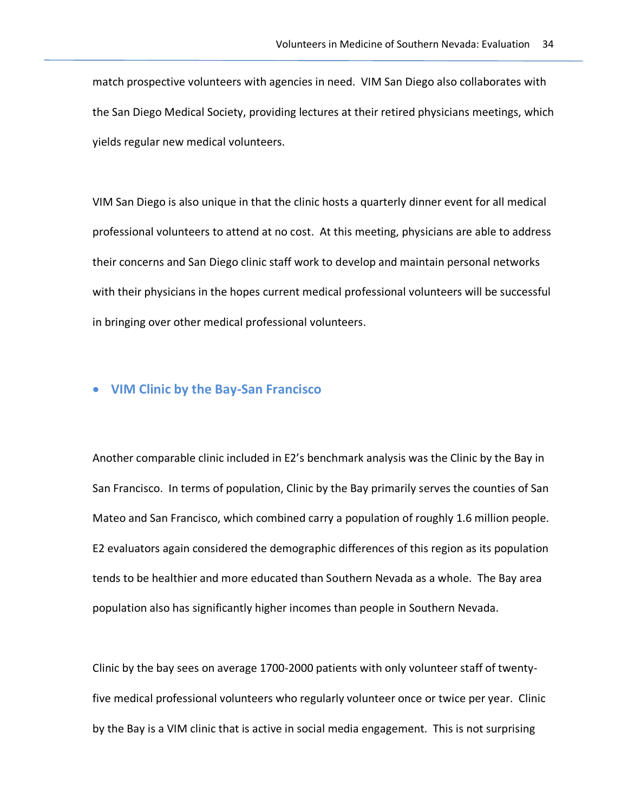match prospective volunteers with agencies in need. VIM San Diego also collaborates with the San Diego Medical Society, providing lectures at their retired physicians meetings, which yields regular new medical volunteers.

VIM San Diego is also unique in that the clinic hosts a quarterly dinner event for all medical professional volunteers to attend at no cost. At this meeting, physicians are able to address their concerns and San Diego clinic staff work to develop and maintain personal networks with their physicians in the hopes current medical professional volunteers will be successful in bringing over other medical professional volunteers.

#### • **VIM Clinic by the Bay-San Francisco**

Another comparable clinic included in E2's benchmark analysis was the Clinic by the Bay in San Francisco. In terms of population, Clinic by the Bay primarily serves the counties of San Mateo and San Francisco, which combined carry a population of roughly 1.6 million people. E2 evaluators again considered the demographic differences of this region as its population tends to be healthier and more educated than Southern Nevada as a whole. The Bay area population also has significantly higher incomes than people in Southern Nevada.

Clinic by the bay sees on average 1700-2000 patients with only volunteer staff of twentyfive medical professional volunteers who regularly volunteer once or twice per year. Clinic by the Bay is a VIM clinic that is active in social media engagement. This is not surprising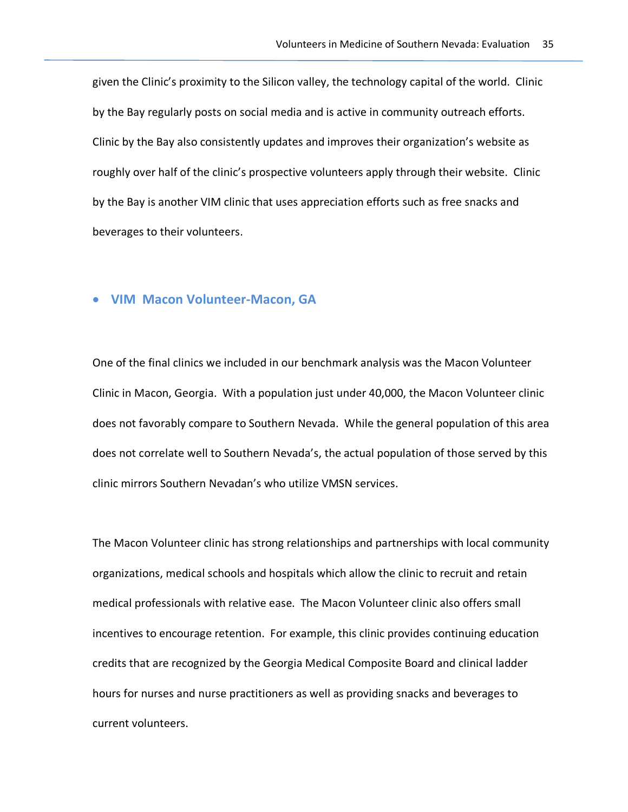given the Clinic's proximity to the Silicon valley, the technology capital of the world. Clinic by the Bay regularly posts on social media and is active in community outreach efforts. Clinic by the Bay also consistently updates and improves their organization's website as roughly over half of the clinic's prospective volunteers apply through their website. Clinic by the Bay is another VIM clinic that uses appreciation efforts such as free snacks and beverages to their volunteers.

#### • **VIM Macon Volunteer-Macon, GA**

One of the final clinics we included in our benchmark analysis was the Macon Volunteer Clinic in Macon, Georgia. With a population just under 40,000, the Macon Volunteer clinic does not favorably compare to Southern Nevada. While the general population of this area does not correlate well to Southern Nevada's, the actual population of those served by this clinic mirrors Southern Nevadan's who utilize VMSN services.

The Macon Volunteer clinic has strong relationships and partnerships with local community organizations, medical schools and hospitals which allow the clinic to recruit and retain medical professionals with relative ease. The Macon Volunteer clinic also offers small incentives to encourage retention. For example, this clinic provides continuing education credits that are recognized by the Georgia Medical Composite Board and clinical ladder hours for nurses and nurse practitioners as well as providing snacks and beverages to current volunteers.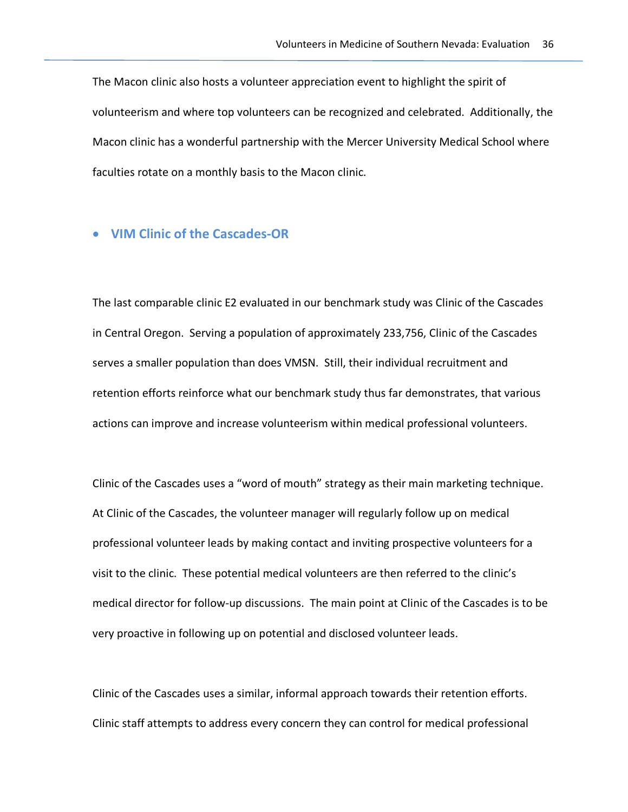The Macon clinic also hosts a volunteer appreciation event to highlight the spirit of volunteerism and where top volunteers can be recognized and celebrated. Additionally, the Macon clinic has a wonderful partnership with the Mercer University Medical School where faculties rotate on a monthly basis to the Macon clinic.

## • **VIM Clinic of the Cascades-OR**

The last comparable clinic E2 evaluated in our benchmark study was Clinic of the Cascades in Central Oregon. Serving a population of approximately 233,756, Clinic of the Cascades serves a smaller population than does VMSN. Still, their individual recruitment and retention efforts reinforce what our benchmark study thus far demonstrates, that various actions can improve and increase volunteerism within medical professional volunteers.

Clinic of the Cascades uses a "word of mouth" strategy as their main marketing technique. At Clinic of the Cascades, the volunteer manager will regularly follow up on medical professional volunteer leads by making contact and inviting prospective volunteers for a visit to the clinic. These potential medical volunteers are then referred to the clinic's medical director for follow-up discussions. The main point at Clinic of the Cascades is to be very proactive in following up on potential and disclosed volunteer leads.

Clinic of the Cascades uses a similar, informal approach towards their retention efforts. Clinic staff attempts to address every concern they can control for medical professional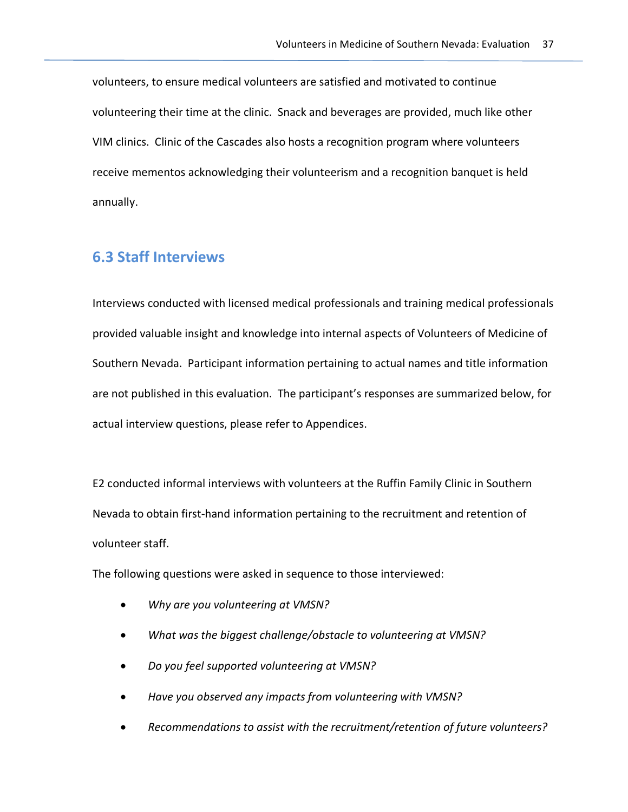volunteers, to ensure medical volunteers are satisfied and motivated to continue volunteering their time at the clinic. Snack and beverages are provided, much like other VIM clinics. Clinic of the Cascades also hosts a recognition program where volunteers receive mementos acknowledging their volunteerism and a recognition banquet is held annually.

# **6.3 Staff Interviews**

Interviews conducted with licensed medical professionals and training medical professionals provided valuable insight and knowledge into internal aspects of Volunteers of Medicine of Southern Nevada. Participant information pertaining to actual names and title information are not published in this evaluation. The participant's responses are summarized below, for actual interview questions, please refer to Appendices.

E2 conducted informal interviews with volunteers at the Ruffin Family Clinic in Southern Nevada to obtain first-hand information pertaining to the recruitment and retention of volunteer staff.

The following questions were asked in sequence to those interviewed:

- *Why are you volunteering at VMSN?*
- *What was the biggest challenge/obstacle to volunteering at VMSN?*
- *Do you feel supported volunteering at VMSN?*
- *Have you observed any impacts from volunteering with VMSN?*
- *Recommendations to assist with the recruitment/retention of future volunteers?*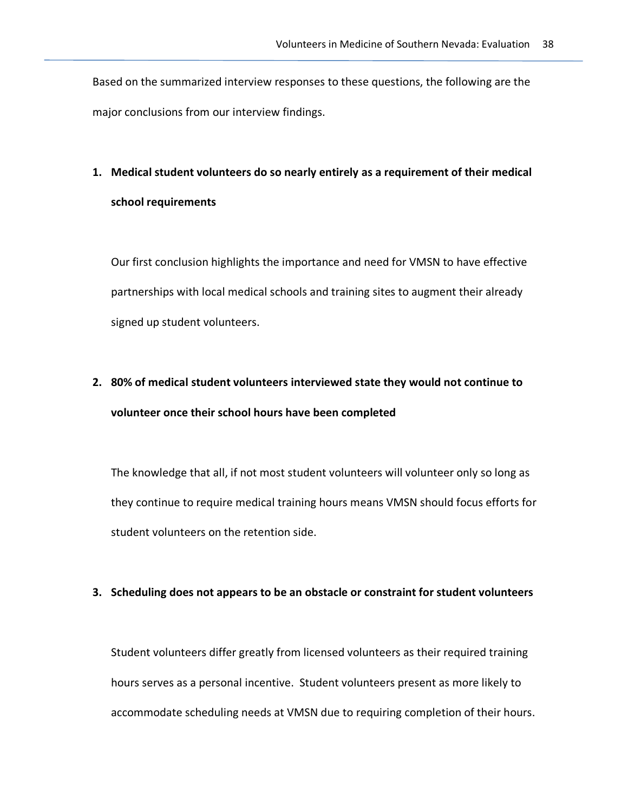Based on the summarized interview responses to these questions, the following are the major conclusions from our interview findings.

# **1. Medical student volunteers do so nearly entirely as a requirement of their medical school requirements**

Our first conclusion highlights the importance and need for VMSN to have effective partnerships with local medical schools and training sites to augment their already signed up student volunteers.

# **2. 80% of medical student volunteers interviewed state they would not continue to volunteer once their school hours have been completed**

The knowledge that all, if not most student volunteers will volunteer only so long as they continue to require medical training hours means VMSN should focus efforts for student volunteers on the retention side.

#### **3. Scheduling does not appears to be an obstacle or constraint for student volunteers**

Student volunteers differ greatly from licensed volunteers as their required training hours serves as a personal incentive. Student volunteers present as more likely to accommodate scheduling needs at VMSN due to requiring completion of their hours.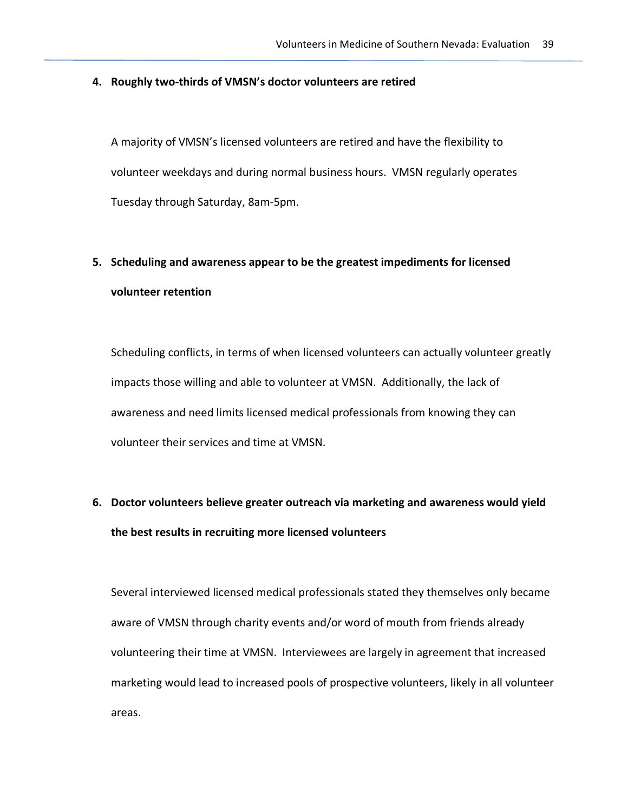#### **4. Roughly two-thirds of VMSN's doctor volunteers are retired**

A majority of VMSN's licensed volunteers are retired and have the flexibility to volunteer weekdays and during normal business hours. VMSN regularly operates Tuesday through Saturday, 8am-5pm.

# **5. Scheduling and awareness appear to be the greatest impediments for licensed volunteer retention**

Scheduling conflicts, in terms of when licensed volunteers can actually volunteer greatly impacts those willing and able to volunteer at VMSN. Additionally, the lack of awareness and need limits licensed medical professionals from knowing they can volunteer their services and time at VMSN.

# **6. Doctor volunteers believe greater outreach via marketing and awareness would yield the best results in recruiting more licensed volunteers**

Several interviewed licensed medical professionals stated they themselves only became aware of VMSN through charity events and/or word of mouth from friends already volunteering their time at VMSN. Interviewees are largely in agreement that increased marketing would lead to increased pools of prospective volunteers, likely in all volunteer areas.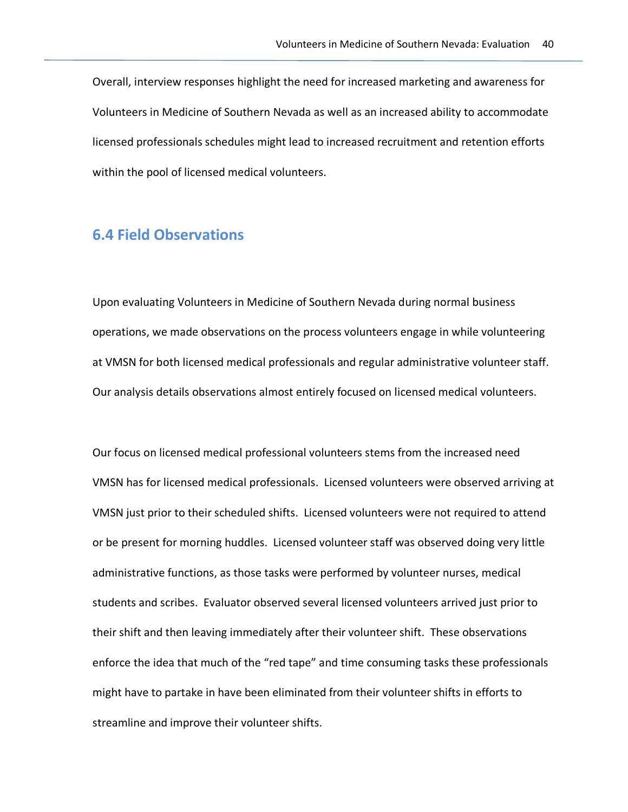Overall, interview responses highlight the need for increased marketing and awareness for Volunteers in Medicine of Southern Nevada as well as an increased ability to accommodate licensed professionals schedules might lead to increased recruitment and retention efforts within the pool of licensed medical volunteers.

# **6.4 Field Observations**

Upon evaluating Volunteers in Medicine of Southern Nevada during normal business operations, we made observations on the process volunteers engage in while volunteering at VMSN for both licensed medical professionals and regular administrative volunteer staff. Our analysis details observations almost entirely focused on licensed medical volunteers.

Our focus on licensed medical professional volunteers stems from the increased need VMSN has for licensed medical professionals. Licensed volunteers were observed arriving at VMSN just prior to their scheduled shifts. Licensed volunteers were not required to attend or be present for morning huddles. Licensed volunteer staff was observed doing very little administrative functions, as those tasks were performed by volunteer nurses, medical students and scribes. Evaluator observed several licensed volunteers arrived just prior to their shift and then leaving immediately after their volunteer shift. These observations enforce the idea that much of the "red tape" and time consuming tasks these professionals might have to partake in have been eliminated from their volunteer shifts in efforts to streamline and improve their volunteer shifts.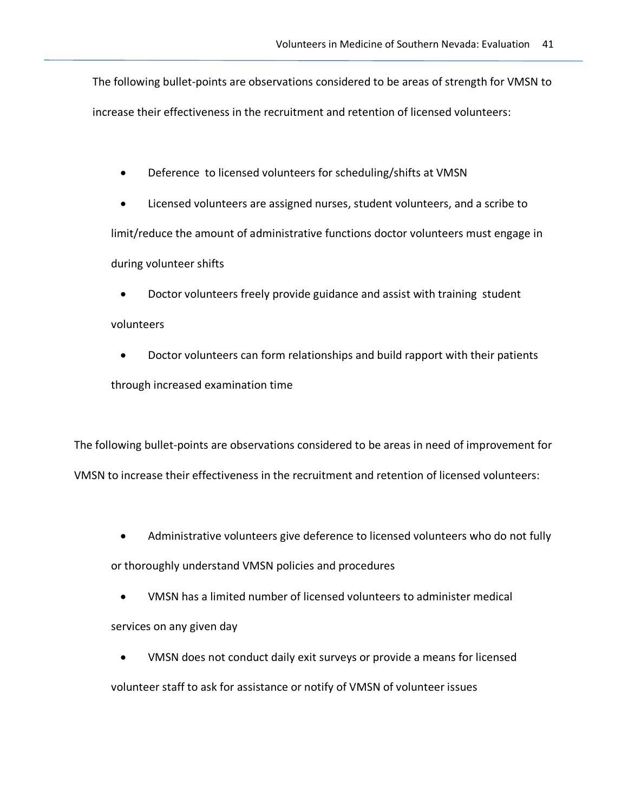The following bullet-points are observations considered to be areas of strength for VMSN to increase their effectiveness in the recruitment and retention of licensed volunteers:

- Deference to licensed volunteers for scheduling/shifts at VMSN
- Licensed volunteers are assigned nurses, student volunteers, and a scribe to limit/reduce the amount of administrative functions doctor volunteers must engage in during volunteer shifts
	- Doctor volunteers freely provide guidance and assist with training student

## volunteers

• Doctor volunteers can form relationships and build rapport with their patients through increased examination time

The following bullet-points are observations considered to be areas in need of improvement for VMSN to increase their effectiveness in the recruitment and retention of licensed volunteers:

• Administrative volunteers give deference to licensed volunteers who do not fully

or thoroughly understand VMSN policies and procedures

- VMSN has a limited number of licensed volunteers to administer medical services on any given day
- VMSN does not conduct daily exit surveys or provide a means for licensed volunteer staff to ask for assistance or notify of VMSN of volunteer issues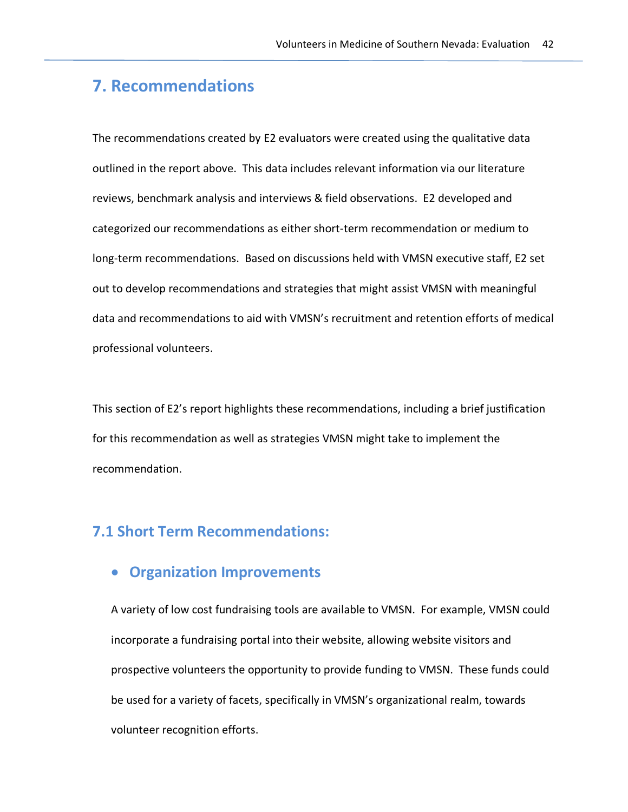# **7. Recommendations**

The recommendations created by E2 evaluators were created using the qualitative data outlined in the report above. This data includes relevant information via our literature reviews, benchmark analysis and interviews & field observations. E2 developed and categorized our recommendations as either short-term recommendation or medium to long-term recommendations. Based on discussions held with VMSN executive staff, E2 set out to develop recommendations and strategies that might assist VMSN with meaningful data and recommendations to aid with VMSN's recruitment and retention efforts of medical professional volunteers.

This section of E2's report highlights these recommendations, including a brief justification for this recommendation as well as strategies VMSN might take to implement the recommendation.

## **7.1 Short Term Recommendations:**

## • **Organization Improvements**

A variety of low cost fundraising tools are available to VMSN. For example, VMSN could incorporate a fundraising portal into their website, allowing website visitors and prospective volunteers the opportunity to provide funding to VMSN. These funds could be used for a variety of facets, specifically in VMSN's organizational realm, towards volunteer recognition efforts.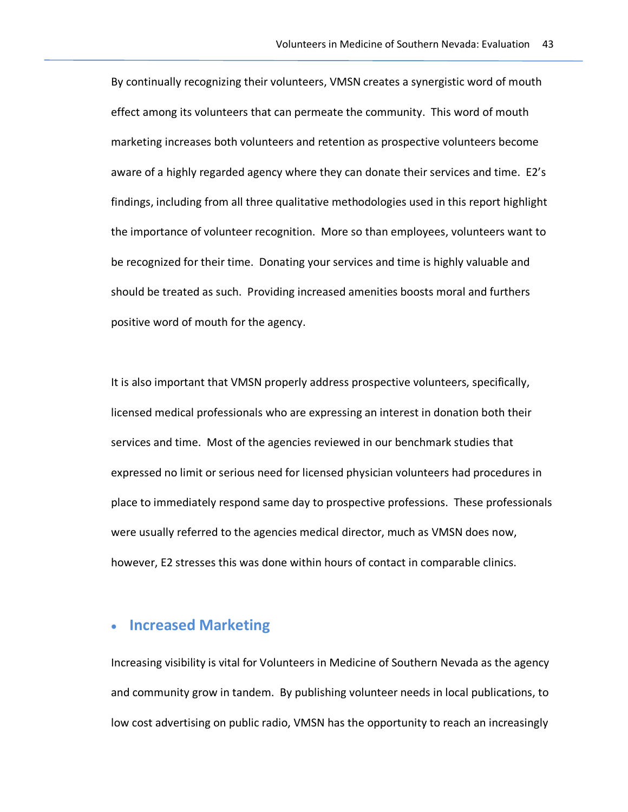By continually recognizing their volunteers, VMSN creates a synergistic word of mouth effect among its volunteers that can permeate the community. This word of mouth marketing increases both volunteers and retention as prospective volunteers become aware of a highly regarded agency where they can donate their services and time. E2's findings, including from all three qualitative methodologies used in this report highlight the importance of volunteer recognition. More so than employees, volunteers want to be recognized for their time. Donating your services and time is highly valuable and should be treated as such. Providing increased amenities boosts moral and furthers positive word of mouth for the agency.

It is also important that VMSN properly address prospective volunteers, specifically, licensed medical professionals who are expressing an interest in donation both their services and time. Most of the agencies reviewed in our benchmark studies that expressed no limit or serious need for licensed physician volunteers had procedures in place to immediately respond same day to prospective professions. These professionals were usually referred to the agencies medical director, much as VMSN does now, however, E2 stresses this was done within hours of contact in comparable clinics.

## • **Increased Marketing**

Increasing visibility is vital for Volunteers in Medicine of Southern Nevada as the agency and community grow in tandem. By publishing volunteer needs in local publications, to low cost advertising on public radio, VMSN has the opportunity to reach an increasingly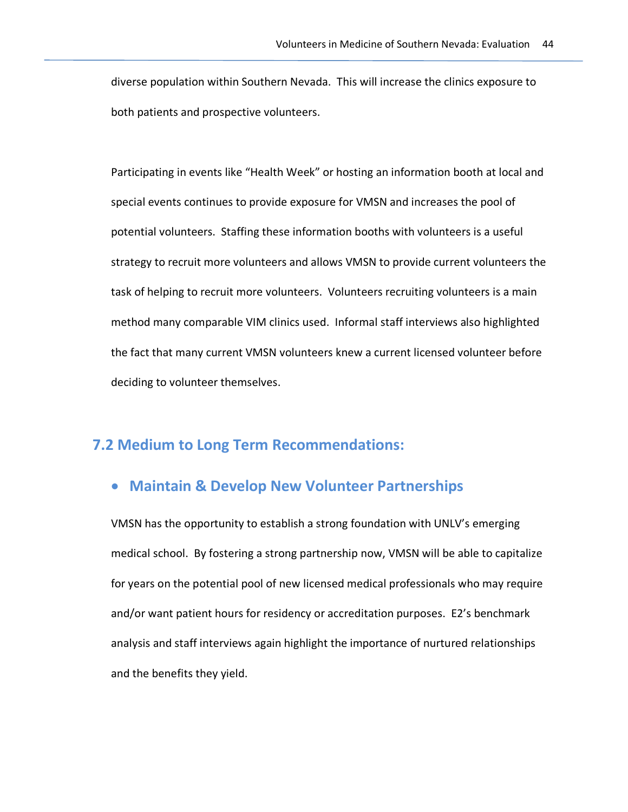diverse population within Southern Nevada. This will increase the clinics exposure to both patients and prospective volunteers.

Participating in events like "Health Week" or hosting an information booth at local and special events continues to provide exposure for VMSN and increases the pool of potential volunteers. Staffing these information booths with volunteers is a useful strategy to recruit more volunteers and allows VMSN to provide current volunteers the task of helping to recruit more volunteers. Volunteers recruiting volunteers is a main method many comparable VIM clinics used. Informal staff interviews also highlighted the fact that many current VMSN volunteers knew a current licensed volunteer before deciding to volunteer themselves.

# **7.2 Medium to Long Term Recommendations:**

# • **Maintain & Develop New Volunteer Partnerships**

VMSN has the opportunity to establish a strong foundation with UNLV's emerging medical school. By fostering a strong partnership now, VMSN will be able to capitalize for years on the potential pool of new licensed medical professionals who may require and/or want patient hours for residency or accreditation purposes. E2's benchmark analysis and staff interviews again highlight the importance of nurtured relationships and the benefits they yield.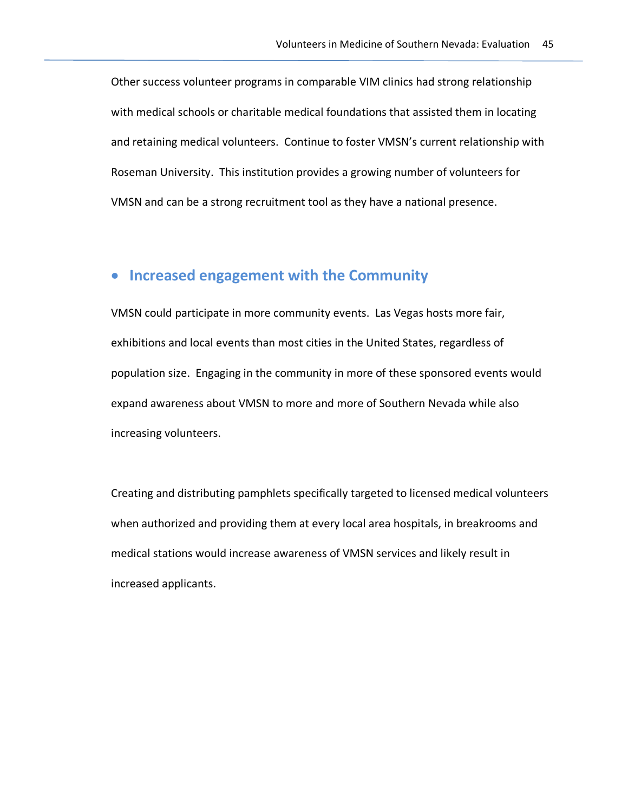Other success volunteer programs in comparable VIM clinics had strong relationship with medical schools or charitable medical foundations that assisted them in locating and retaining medical volunteers. Continue to foster VMSN's current relationship with Roseman University. This institution provides a growing number of volunteers for VMSN and can be a strong recruitment tool as they have a national presence.

# • **Increased engagement with the Community**

VMSN could participate in more community events. Las Vegas hosts more fair, exhibitions and local events than most cities in the United States, regardless of population size. Engaging in the community in more of these sponsored events would expand awareness about VMSN to more and more of Southern Nevada while also increasing volunteers.

Creating and distributing pamphlets specifically targeted to licensed medical volunteers when authorized and providing them at every local area hospitals, in breakrooms and medical stations would increase awareness of VMSN services and likely result in increased applicants.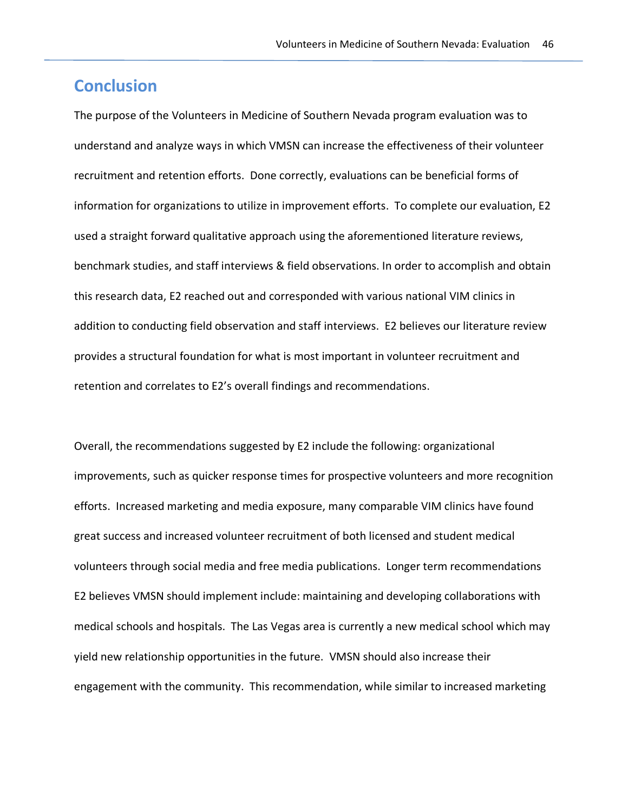# **Conclusion**

The purpose of the Volunteers in Medicine of Southern Nevada program evaluation was to understand and analyze ways in which VMSN can increase the effectiveness of their volunteer recruitment and retention efforts. Done correctly, evaluations can be beneficial forms of information for organizations to utilize in improvement efforts. To complete our evaluation, E2 used a straight forward qualitative approach using the aforementioned literature reviews, benchmark studies, and staff interviews & field observations. In order to accomplish and obtain this research data, E2 reached out and corresponded with various national VIM clinics in addition to conducting field observation and staff interviews. E2 believes our literature review provides a structural foundation for what is most important in volunteer recruitment and retention and correlates to E2's overall findings and recommendations.

Overall, the recommendations suggested by E2 include the following: organizational improvements, such as quicker response times for prospective volunteers and more recognition efforts. Increased marketing and media exposure, many comparable VIM clinics have found great success and increased volunteer recruitment of both licensed and student medical volunteers through social media and free media publications. Longer term recommendations E2 believes VMSN should implement include: maintaining and developing collaborations with medical schools and hospitals. The Las Vegas area is currently a new medical school which may yield new relationship opportunities in the future. VMSN should also increase their engagement with the community. This recommendation, while similar to increased marketing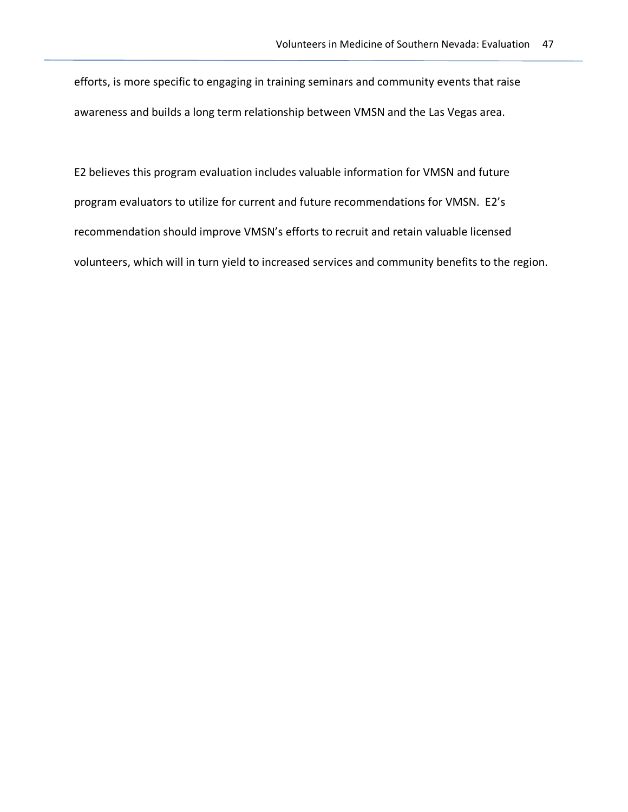efforts, is more specific to engaging in training seminars and community events that raise awareness and builds a long term relationship between VMSN and the Las Vegas area.

E2 believes this program evaluation includes valuable information for VMSN and future program evaluators to utilize for current and future recommendations for VMSN. E2's recommendation should improve VMSN's efforts to recruit and retain valuable licensed volunteers, which will in turn yield to increased services and community benefits to the region.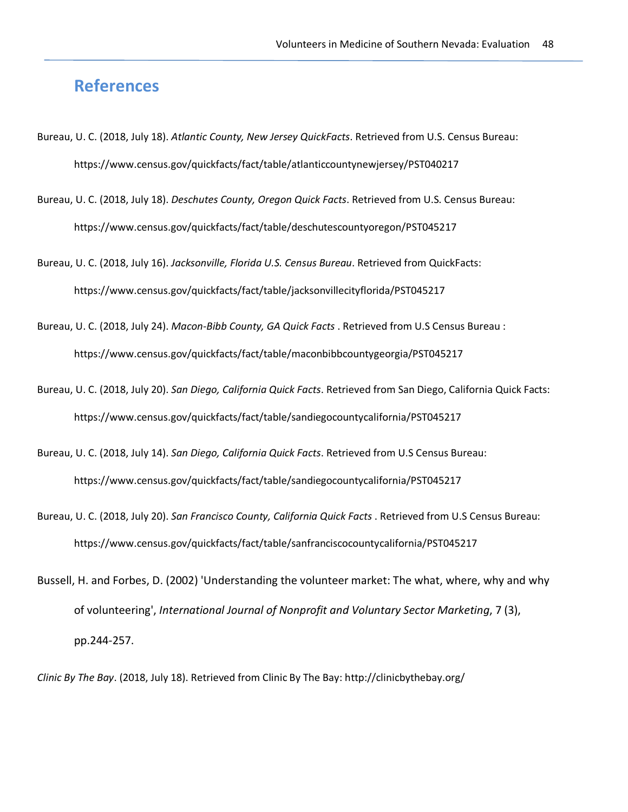# **References**

- Bureau, U. C. (2018, July 18). *Atlantic County, New Jersey QuickFacts*. Retrieved from U.S. Census Bureau: https://www.census.gov/quickfacts/fact/table/atlanticcountynewjersey/PST040217
- Bureau, U. C. (2018, July 18). *Deschutes County, Oregon Quick Facts*. Retrieved from U.S. Census Bureau: https://www.census.gov/quickfacts/fact/table/deschutescountyoregon/PST045217

Bureau, U. C. (2018, July 16). *Jacksonville, Florida U.S. Census Bureau*. Retrieved from QuickFacts: https://www.census.gov/quickfacts/fact/table/jacksonvillecityflorida/PST045217

- Bureau, U. C. (2018, July 24). *Macon-Bibb County, GA Quick Facts* . Retrieved from U.S Census Bureau : https://www.census.gov/quickfacts/fact/table/maconbibbcountygeorgia/PST045217
- Bureau, U. C. (2018, July 20). *San Diego, California Quick Facts*. Retrieved from San Diego, California Quick Facts: https://www.census.gov/quickfacts/fact/table/sandiegocountycalifornia/PST045217
- Bureau, U. C. (2018, July 14). *San Diego, California Quick Facts*. Retrieved from U.S Census Bureau: https://www.census.gov/quickfacts/fact/table/sandiegocountycalifornia/PST045217
- Bureau, U. C. (2018, July 20). *San Francisco County, California Quick Facts* . Retrieved from U.S Census Bureau: https://www.census.gov/quickfacts/fact/table/sanfranciscocountycalifornia/PST045217
- Bussell, H. and Forbes, D. (2002) 'Understanding the volunteer market: The what, where, why and why of volunteering', *International Journal of Nonprofit and Voluntary Sector Marketing*, 7 (3), pp.244-257.

*Clinic By The Bay*. (2018, July 18). Retrieved from Clinic By The Bay: http://clinicbythebay.org/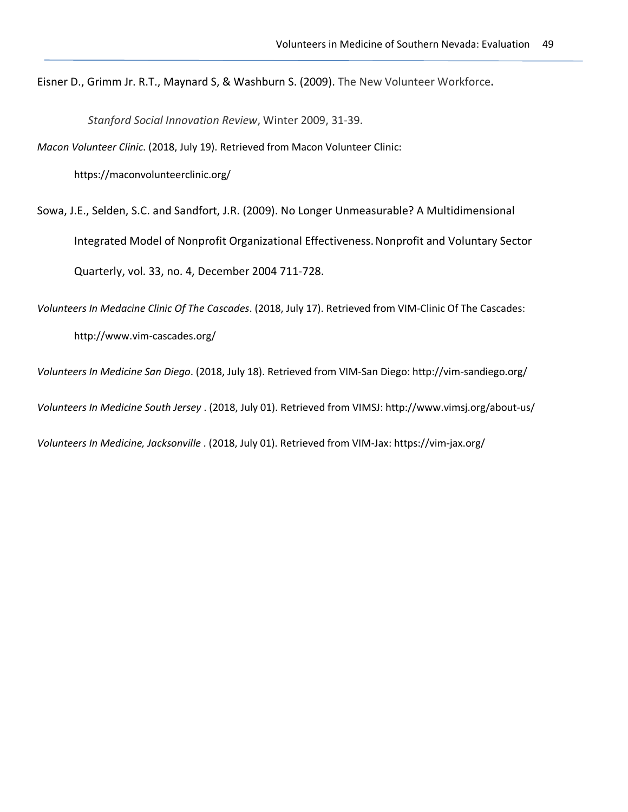Eisner D., Grimm Jr. R.T., Maynard S, & Washburn S. (2009). The New Volunteer Workforce**.**

*Stanford Social Innovation Review*, Winter 2009, 31-39.

*Macon Volunteer Clinic*. (2018, July 19). Retrieved from Macon Volunteer Clinic:

https://maconvolunteerclinic.org/

Sowa, J.E., Selden, S.C. and Sandfort, J.R. (2009). No Longer Unmeasurable? A Multidimensional Integrated Model of Nonprofit Organizational Effectiveness.Nonprofit and Voluntary Sector Quarterly, vol. 33, no. 4, December 2004 711-728.

*Volunteers In Medacine Clinic Of The Cascades*. (2018, July 17). Retrieved from VIM-Clinic Of The Cascades: http://www.vim-cascades.org/

*Volunteers In Medicine San Diego*. (2018, July 18). Retrieved from VIM-San Diego: http://vim-sandiego.org/

*Volunteers In Medicine South Jersey* . (2018, July 01). Retrieved from VIMSJ: http://www.vimsj.org/about-us/

*Volunteers In Medicine, Jacksonville* . (2018, July 01). Retrieved from VIM-Jax: https://vim-jax.org/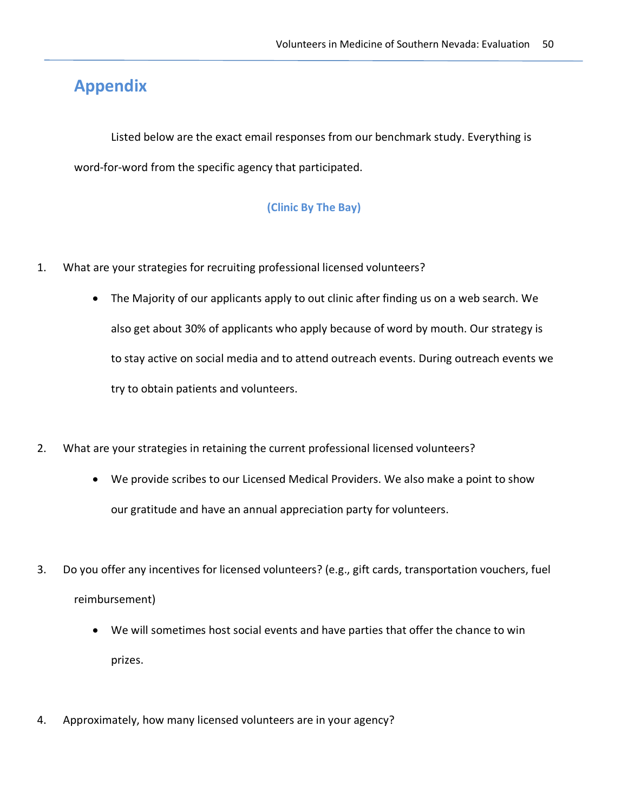# **Appendix**

Listed below are the exact email responses from our benchmark study. Everything is word-for-word from the specific agency that participated.

#### **(Clinic By The Bay)**

- 1. What are your strategies for recruiting professional licensed volunteers?
	- The Majority of our applicants apply to out clinic after finding us on a web search. We also get about 30% of applicants who apply because of word by mouth. Our strategy is to stay active on social media and to attend outreach events. During outreach events we try to obtain patients and volunteers.
- 2. What are your strategies in retaining the current professional licensed volunteers?
	- We provide scribes to our Licensed Medical Providers. We also make a point to show our gratitude and have an annual appreciation party for volunteers.
- 3. Do you offer any incentives for licensed volunteers? (e.g., gift cards, transportation vouchers, fuel reimbursement)
	- We will sometimes host social events and have parties that offer the chance to win prizes.
- 4. Approximately, how many licensed volunteers are in your agency?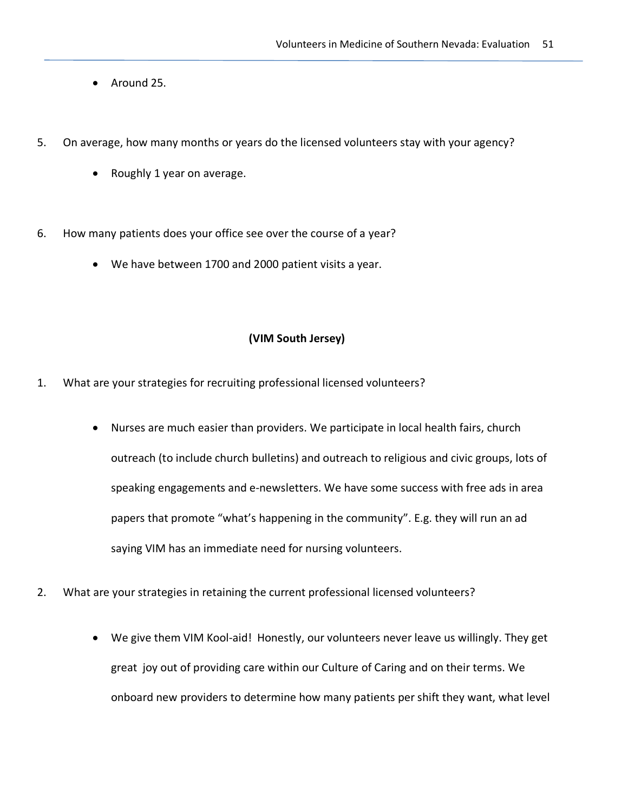- Around 25.
- 5. On average, how many months or years do the licensed volunteers stay with your agency?
	- Roughly 1 year on average.
- 6. How many patients does your office see over the course of a year?
	- We have between 1700 and 2000 patient visits a year.

#### **(VIM South Jersey)**

- 1. What are your strategies for recruiting professional licensed volunteers?
	- Nurses are much easier than providers. We participate in local health fairs, church outreach (to include church bulletins) and outreach to religious and civic groups, lots of speaking engagements and e-newsletters. We have some success with free ads in area papers that promote "what's happening in the community". E.g. they will run an ad saying VIM has an immediate need for nursing volunteers.
- 2. What are your strategies in retaining the current professional licensed volunteers?
	- We give them VIM Kool-aid! Honestly, our volunteers never leave us willingly. They get great joy out of providing care within our Culture of Caring and on their terms. We onboard new providers to determine how many patients per shift they want, what level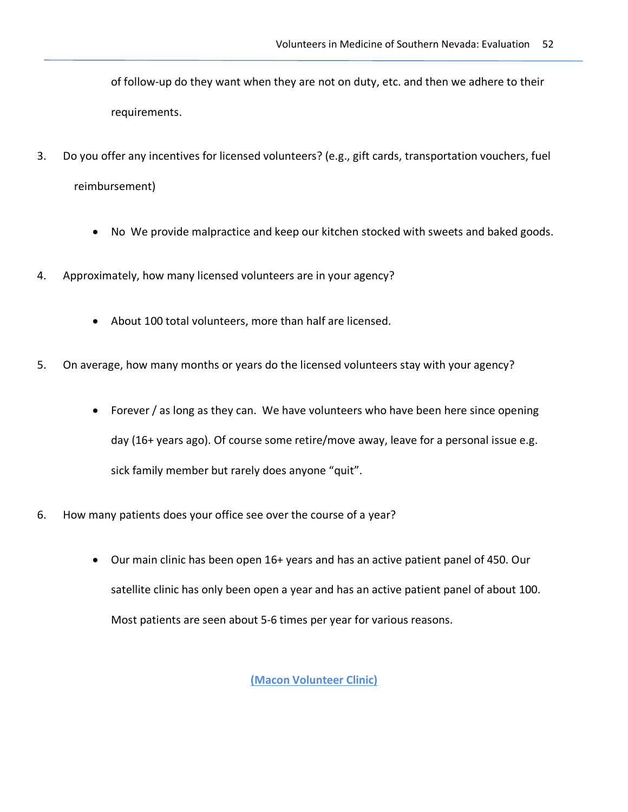of follow-up do they want when they are not on duty, etc. and then we adhere to their requirements.

- 3. Do you offer any incentives for licensed volunteers? (e.g., gift cards, transportation vouchers, fuel reimbursement)
	- No We provide malpractice and keep our kitchen stocked with sweets and baked goods.
- 4. Approximately, how many licensed volunteers are in your agency?
	- About 100 total volunteers, more than half are licensed.
- 5. On average, how many months or years do the licensed volunteers stay with your agency?
	- Forever / as long as they can. We have volunteers who have been here since opening day (16+ years ago). Of course some retire/move away, leave for a personal issue e.g. sick family member but rarely does anyone "quit".
- 6. How many patients does your office see over the course of a year?
	- Our main clinic has been open 16+ years and has an active patient panel of 450. Our satellite clinic has only been open a year and has an active patient panel of about 100. Most patients are seen about 5-6 times per year for various reasons.

**(Macon Volunteer Clinic)**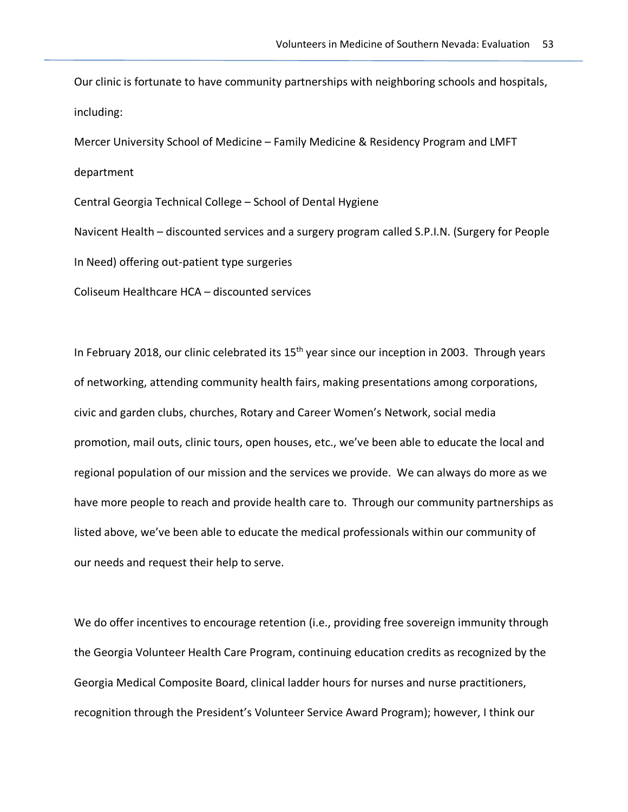Our clinic is fortunate to have community partnerships with neighboring schools and hospitals, including:

Mercer University School of Medicine – Family Medicine & Residency Program and LMFT department Central Georgia Technical College – School of Dental Hygiene

Navicent Health – discounted services and a surgery program called S.P.I.N. (Surgery for People In Need) offering out-patient type surgeries

Coliseum Healthcare HCA – discounted services

In February 2018, our clinic celebrated its 15<sup>th</sup> year since our inception in 2003. Through years of networking, attending community health fairs, making presentations among corporations, civic and garden clubs, churches, Rotary and Career Women's Network, social media promotion, mail outs, clinic tours, open houses, etc., we've been able to educate the local and regional population of our mission and the services we provide. We can always do more as we have more people to reach and provide health care to. Through our community partnerships as listed above, we've been able to educate the medical professionals within our community of our needs and request their help to serve.

We do offer incentives to encourage retention (i.e., providing free sovereign immunity through the Georgia Volunteer Health Care Program, continuing education credits as recognized by the Georgia Medical Composite Board, clinical ladder hours for nurses and nurse practitioners, recognition through the President's Volunteer Service Award Program); however, I think our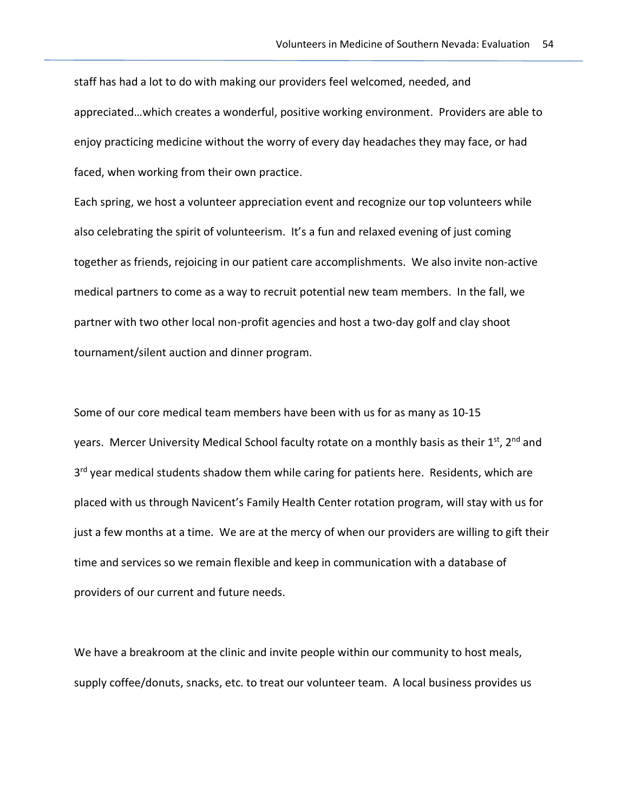staff has had a lot to do with making our providers feel welcomed, needed, and appreciated…which creates a wonderful, positive working environment. Providers are able to enjoy practicing medicine without the worry of every day headaches they may face, or had faced, when working from their own practice.

Each spring, we host a volunteer appreciation event and recognize our top volunteers while also celebrating the spirit of volunteerism. It's a fun and relaxed evening of just coming together as friends, rejoicing in our patient care accomplishments. We also invite non-active medical partners to come as a way to recruit potential new team members. In the fall, we partner with two other local non-profit agencies and host a two-day golf and clay shoot tournament/silent auction and dinner program.

Some of our core medical team members have been with us for as many as 10-15 years. Mercer University Medical School faculty rotate on a monthly basis as their 1<sup>st</sup>, 2<sup>nd</sup> and 3<sup>rd</sup> year medical students shadow them while caring for patients here. Residents, which are placed with us through Navicent's Family Health Center rotation program, will stay with us for just a few months at a time. We are at the mercy of when our providers are willing to gift their time and services so we remain flexible and keep in communication with a database of providers of our current and future needs.

We have a breakroom at the clinic and invite people within our community to host meals, supply coffee/donuts, snacks, etc. to treat our volunteer team. A local business provides us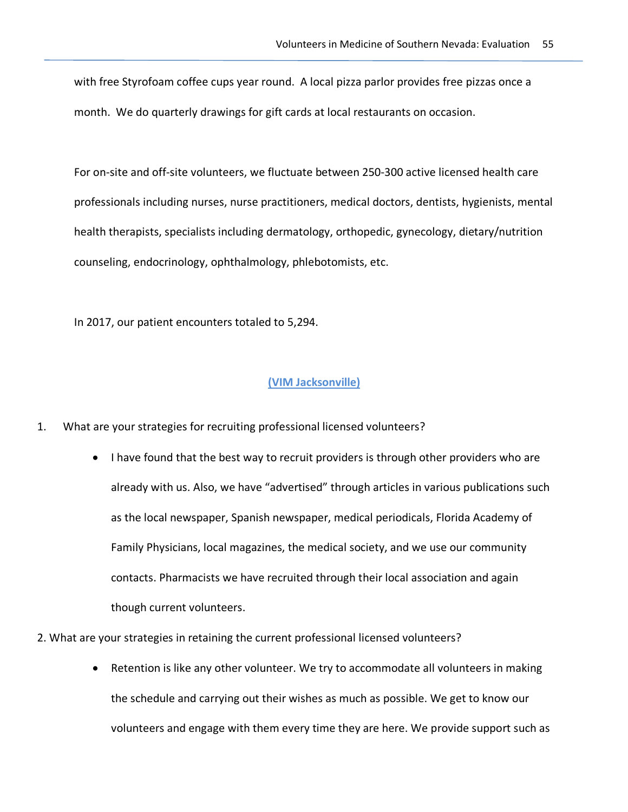with free Styrofoam coffee cups year round. A local pizza parlor provides free pizzas once a month. We do quarterly drawings for gift cards at local restaurants on occasion.

For on-site and off-site volunteers, we fluctuate between 250-300 active licensed health care professionals including nurses, nurse practitioners, medical doctors, dentists, hygienists, mental health therapists, specialists including dermatology, orthopedic, gynecology, dietary/nutrition counseling, endocrinology, ophthalmology, phlebotomists, etc.

In 2017, our patient encounters totaled to 5,294.

#### **(VIM Jacksonville)**

- 1. What are your strategies for recruiting professional licensed volunteers?
	- I have found that the best way to recruit providers is through other providers who are already with us. Also, we have "advertised" through articles in various publications such as the local newspaper, Spanish newspaper, medical periodicals, Florida Academy of Family Physicians, local magazines, the medical society, and we use our community contacts. Pharmacists we have recruited through their local association and again though current volunteers.
- 2. What are your strategies in retaining the current professional licensed volunteers?
	- Retention is like any other volunteer. We try to accommodate all volunteers in making the schedule and carrying out their wishes as much as possible. We get to know our volunteers and engage with them every time they are here. We provide support such as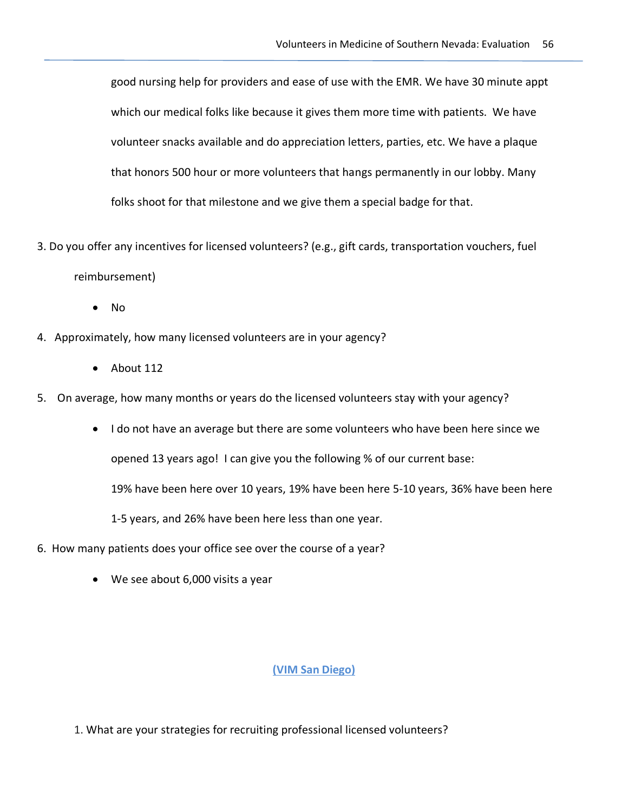good nursing help for providers and ease of use with the EMR. We have 30 minute appt which our medical folks like because it gives them more time with patients. We have volunteer snacks available and do appreciation letters, parties, etc. We have a plaque that honors 500 hour or more volunteers that hangs permanently in our lobby. Many folks shoot for that milestone and we give them a special badge for that.

3. Do you offer any incentives for licensed volunteers? (e.g., gift cards, transportation vouchers, fuel

reimbursement)

- No
- 4. Approximately, how many licensed volunteers are in your agency?
	- About 112
- 5. On average, how many months or years do the licensed volunteers stay with your agency?
	- I do not have an average but there are some volunteers who have been here since we opened 13 years ago! I can give you the following % of our current base:

19% have been here over 10 years, 19% have been here 5-10 years, 36% have been here

1-5 years, and 26% have been here less than one year.

- 6. How many patients does your office see over the course of a year?
	- We see about 6,000 visits a year

#### **(VIM San Diego)**

1. What are your strategies for recruiting professional licensed volunteers?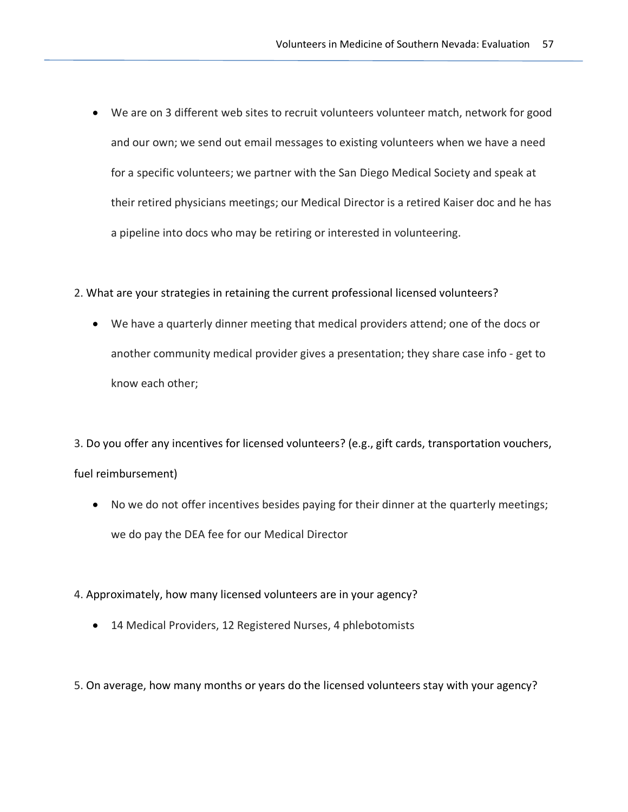- We are on 3 different web sites to recruit volunteers volunteer match, network for good and our own; we send out email messages to existing volunteers when we have a need for a specific volunteers; we partner with the San Diego Medical Society and speak at their retired physicians meetings; our Medical Director is a retired Kaiser doc and he has a pipeline into docs who may be retiring or interested in volunteering.
- 2. What are your strategies in retaining the current professional licensed volunteers?
	- We have a quarterly dinner meeting that medical providers attend; one of the docs or another community medical provider gives a presentation; they share case info - get to know each other;

3. Do you offer any incentives for licensed volunteers? (e.g., gift cards, transportation vouchers, fuel reimbursement)

- No we do not offer incentives besides paying for their dinner at the quarterly meetings; we do pay the DEA fee for our Medical Director
- 4. Approximately, how many licensed volunteers are in your agency?
	- 14 Medical Providers, 12 Registered Nurses, 4 phlebotomists

5. On average, how many months or years do the licensed volunteers stay with your agency?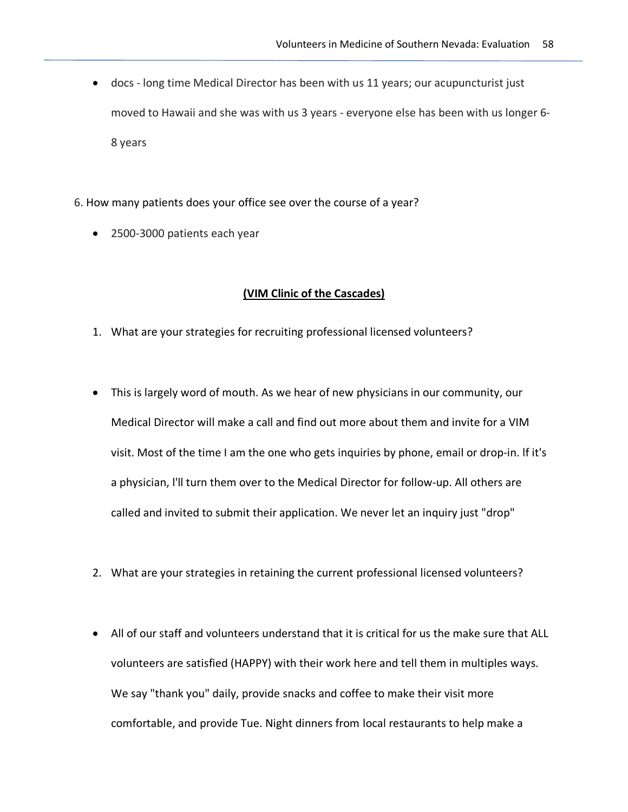- docs long time Medical Director has been with us 11 years; our acupuncturist just moved to Hawaii and she was with us 3 years - everyone else has been with us longer 6- 8 years
- 6. How many patients does your office see over the course of a year?
	- 2500-3000 patients each year

## **(VIM Clinic of the Cascades)**

- 1. What are your strategies for recruiting professional licensed volunteers?
- This is largely word of mouth. As we hear of new physicians in our community, our Medical Director will make a call and find out more about them and invite for a VIM visit. Most of the time I am the one who gets inquiries by phone, email or drop-in. lf it's a physician, l'll turn them over to the Medical Director for follow-up. All others are called and invited to submit their application. We never let an inquiry just "drop"
- 2. What are your strategies in retaining the current professional licensed volunteers?
- All of our staff and volunteers understand that it is critical for us the make sure that ALL volunteers are satisfied (HAPPY) with their work here and tell them in multiples ways. We say "thank you" daily, provide snacks and coffee to make their visit more comfortable, and provide Tue. Night dinners from local restaurants to help make a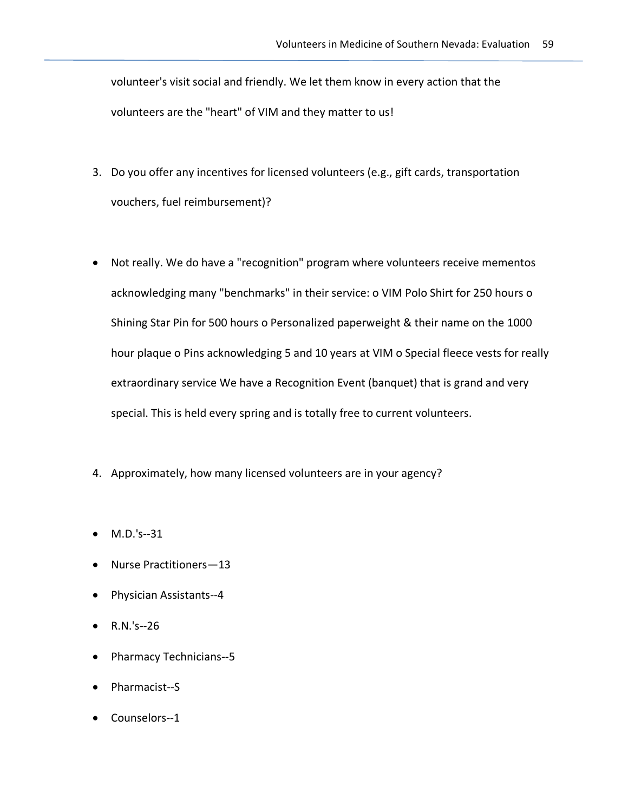volunteer's visit social and friendly. We let them know in every action that the volunteers are the "heart" of VIM and they matter to us!

- 3. Do you offer any incentives for licensed volunteers (e.g., gift cards, transportation vouchers, fuel reimbursement)?
- Not really. We do have a "recognition" program where volunteers receive mementos acknowledging many "benchmarks" in their service: o VIM Polo Shirt for 250 hours o Shining Star Pin for 500 hours o Personalized paperweight & their name on the 1000 hour plaque o Pins acknowledging 5 and 10 years at VIM o Special fleece vests for really extraordinary service We have a Recognition Event (banquet) that is grand and very special. This is held every spring and is totally free to current volunteers.
- 4. Approximately, how many licensed volunteers are in your agency?
- M.D.'s--31
- Nurse Practitioners—13
- Physician Assistants--4
- R.N.'s--26
- Pharmacy Technicians--5
- Pharmacist--S
- Counselors--1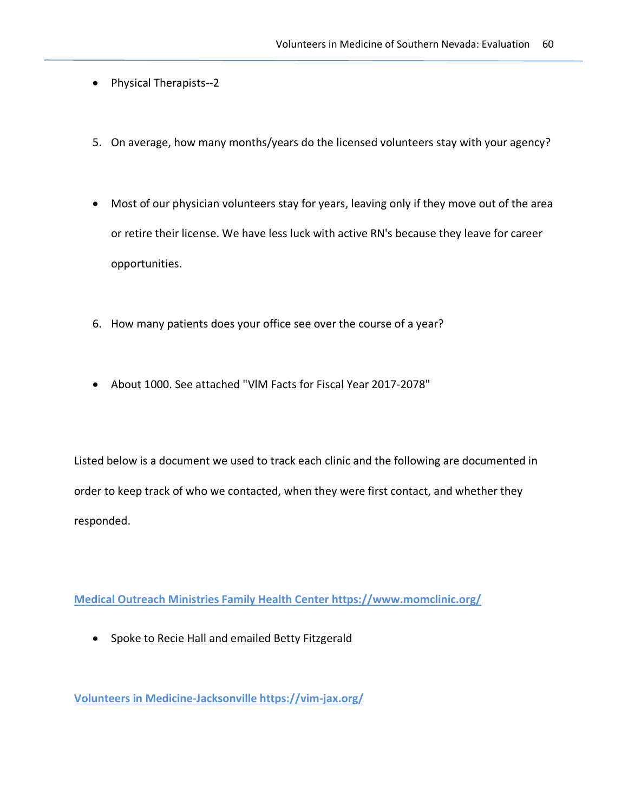- Physical Therapists--2
- 5. On average, how many months/years do the licensed volunteers stay with your agency?
- Most of our physician volunteers stay for years, leaving only if they move out of the area or retire their license. We have less luck with active RN's because they leave for career opportunities.
- 6. How many patients does your office see over the course of a year?
- About 1000. See attached "VlM Facts for Fiscal Year 2017-2078"

Listed below is a document we used to track each clinic and the following are documented in order to keep track of who we contacted, when they were first contact, and whether they responded.

**Medical Outreach Ministries Family Health Center https://www.momclinic.org/**

• Spoke to Recie Hall and emailed Betty Fitzgerald

**Volunteers in Medicine-Jacksonville https://vim-jax.org/**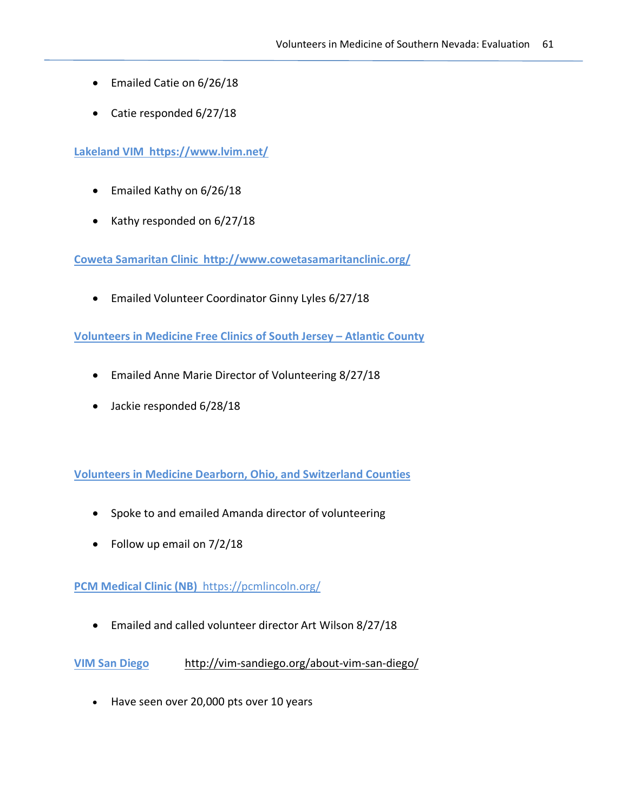- Emailed Catie on 6/26/18
- Catie responded 6/27/18

**Lakeland VIM https://www.lvim.net/**

- Emailed Kathy on 6/26/18
- Kathy responded on 6/27/18

**Coweta Samaritan Clinic http://www.cowetasamaritanclinic.org/**

• Emailed Volunteer Coordinator Ginny Lyles 6/27/18

**Volunteers in Medicine Free Clinics of South Jersey – Atlantic County**

- Emailed Anne Marie Director of Volunteering 8/27/18
- Jackie responded 6/28/18

**Volunteers in Medicine Dearborn, Ohio, and Switzerland Counties** 

- Spoke to and emailed Amanda director of volunteering
- Follow up email on 7/2/18

**PCM Medical Clinic (NB)** https://pcmlincoln.org/

• Emailed and called volunteer director Art Wilson 8/27/18

**VIM San Diego** http://vim-sandiego.org/about-vim-san-diego/

• Have seen over 20,000 pts over 10 years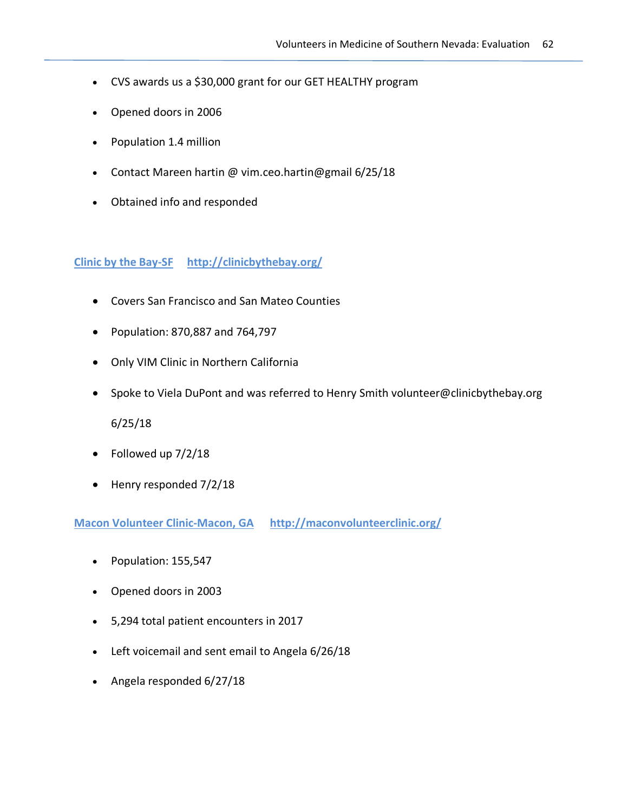- CVS awards us a \$30,000 grant for our GET HEALTHY program
- Opened doors in 2006
- Population 1.4 million
- Contact Mareen hartin @ vim.ceo.hartin@gmail 6/25/18
- Obtained info and responded

#### **Clinic by the Bay-SF http://clinicbythebay.org/**

- Covers San Francisco and San Mateo Counties
- Population: 870,887 and 764,797
- Only VIM Clinic in Northern California
- Spoke to Viela DuPont and was referred to Henry Smith volunteer@clinicbythebay.org

6/25/18

- Followed up 7/2/18
- Henry responded 7/2/18

**Macon Volunteer Clinic-Macon, GA http://maconvolunteerclinic.org/**

- Population: 155,547
- Opened doors in 2003
- 5,294 total patient encounters in 2017
- Left voicemail and sent email to Angela 6/26/18
- Angela responded 6/27/18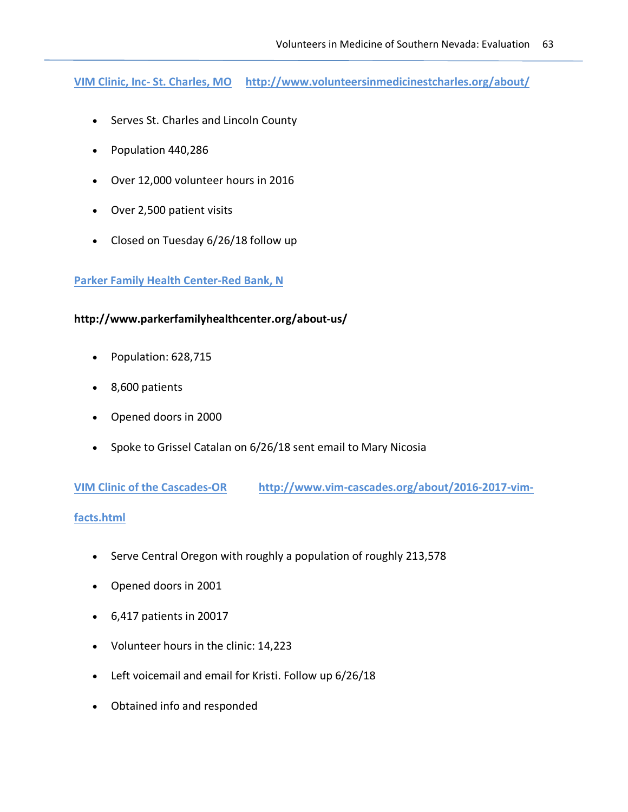**VIM Clinic, Inc- St. Charles, MO http://www.volunteersinmedicinestcharles.org/about/**

- Serves St. Charles and Lincoln County
- Population 440,286
- Over 12,000 volunteer hours in 2016
- Over 2,500 patient visits
- Closed on Tuesday 6/26/18 follow up

#### **Parker Family Health Center-Red Bank, N**

#### **http://www.parkerfamilyhealthcenter.org/about-us/**

- Population: 628,715
- 8,600 patients
- Opened doors in 2000
- Spoke to Grissel Catalan on 6/26/18 sent email to Mary Nicosia

**VIM Clinic of the Cascades-OR http://www.vim-cascades.org/about/2016-2017-vim-**

#### **facts.html**

- Serve Central Oregon with roughly a population of roughly 213,578
- Opened doors in 2001
- 6,417 patients in 20017
- Volunteer hours in the clinic: 14,223
- Left voicemail and email for Kristi. Follow up 6/26/18
- Obtained info and responded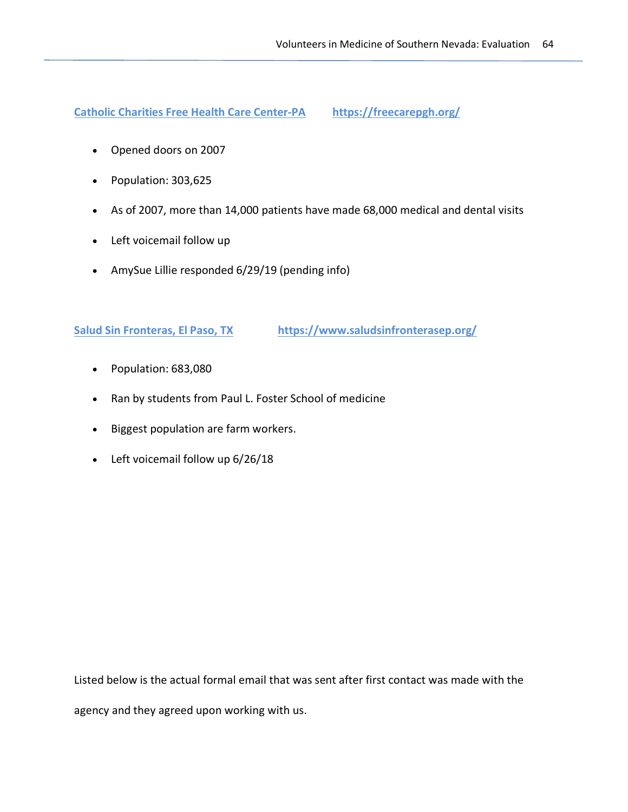**Catholic Charities Free Health Care Center-PA https://freecarepgh.org/**

- Opened doors on 2007
- Population: 303,625
- As of 2007, more than 14,000 patients have made 68,000 medical and dental visits
- Left voicemail follow up
- AmySue Lillie responded 6/29/19 (pending info)

## **Salud Sin Fronteras, El Paso, TX** https://www.saludsinfronterasep.org/

- Population: 683,080
- Ran by students from Paul L. Foster School of medicine
- Biggest population are farm workers.
- Left voicemail follow up 6/26/18

Listed below is the actual formal email that was sent after first contact was made with the

agency and they agreed upon working with us.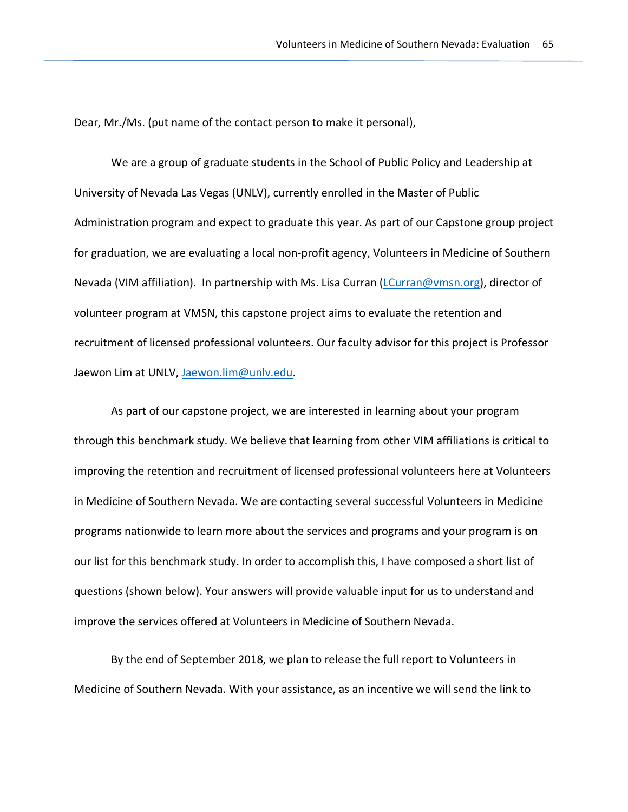Dear, Mr./Ms. (put name of the contact person to make it personal),

We are a group of graduate students in the School of Public Policy and Leadership at University of Nevada Las Vegas (UNLV), currently enrolled in the Master of Public Administration program and expect to graduate this year. As part of our Capstone group project for graduation, we are evaluating a local non-profit agency, Volunteers in Medicine of Southern Nevada (VIM affiliation). In partnership with Ms. Lisa Curran (LCurran@vmsn.org), director of volunteer program at VMSN, this capstone project aims to evaluate the retention and recruitment of licensed professional volunteers. Our faculty advisor for this project is Professor Jaewon Lim at UNLV, Jaewon.lim@unlv.edu.

As part of our capstone project, we are interested in learning about your program through this benchmark study. We believe that learning from other VIM affiliations is critical to improving the retention and recruitment of licensed professional volunteers here at Volunteers in Medicine of Southern Nevada. We are contacting several successful Volunteers in Medicine programs nationwide to learn more about the services and programs and your program is on our list for this benchmark study. In order to accomplish this, I have composed a short list of questions (shown below). Your answers will provide valuable input for us to understand and improve the services offered at Volunteers in Medicine of Southern Nevada.

By the end of September 2018, we plan to release the full report to Volunteers in Medicine of Southern Nevada. With your assistance, as an incentive we will send the link to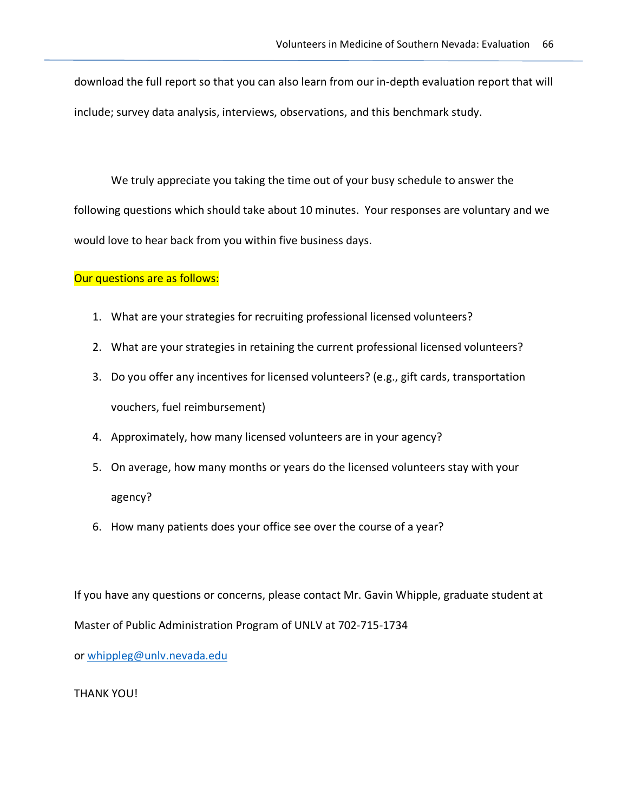download the full report so that you can also learn from our in-depth evaluation report that will include; survey data analysis, interviews, observations, and this benchmark study.

We truly appreciate you taking the time out of your busy schedule to answer the following questions which should take about 10 minutes. Your responses are voluntary and we would love to hear back from you within five business days.

#### Our questions are as follows:

- 1. What are your strategies for recruiting professional licensed volunteers?
- 2. What are your strategies in retaining the current professional licensed volunteers?
- 3. Do you offer any incentives for licensed volunteers? (e.g., gift cards, transportation vouchers, fuel reimbursement)
- 4. Approximately, how many licensed volunteers are in your agency?
- 5. On average, how many months or years do the licensed volunteers stay with your agency?
- 6. How many patients does your office see over the course of a year?

If you have any questions or concerns, please contact Mr. Gavin Whipple, graduate student at Master of Public Administration Program of UNLV at 702-715-1734

or whippleg@unlv.nevada.edu

THANK YOU!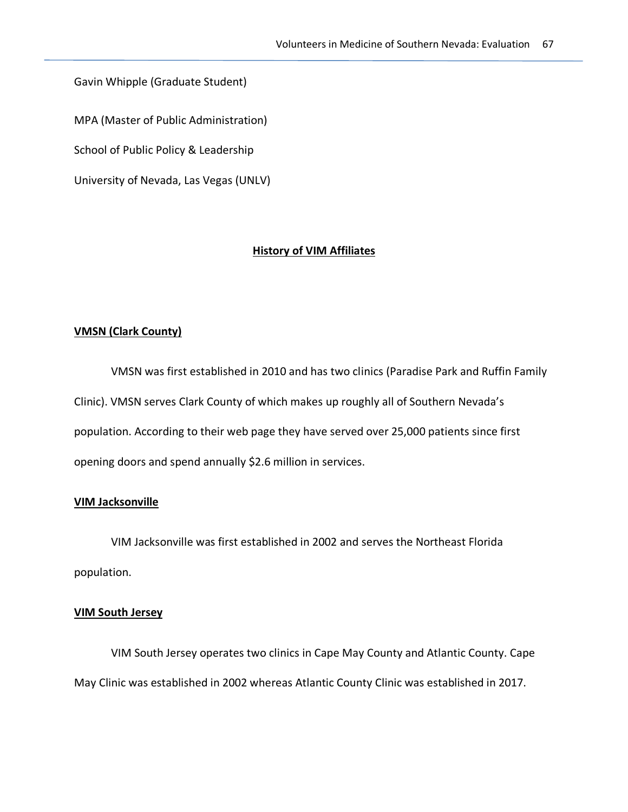Gavin Whipple (Graduate Student)

MPA (Master of Public Administration)

School of Public Policy & Leadership

University of Nevada, Las Vegas (UNLV)

#### **History of VIM Affiliates**

#### **VMSN (Clark County)**

VMSN was first established in 2010 and has two clinics (Paradise Park and Ruffin Family Clinic). VMSN serves Clark County of which makes up roughly all of Southern Nevada's population. According to their web page they have served over 25,000 patients since first opening doors and spend annually \$2.6 million in services.

#### **VIM Jacksonville**

VIM Jacksonville was first established in 2002 and serves the Northeast Florida population.

#### **VIM South Jersey**

VIM South Jersey operates two clinics in Cape May County and Atlantic County. Cape May Clinic was established in 2002 whereas Atlantic County Clinic was established in 2017.